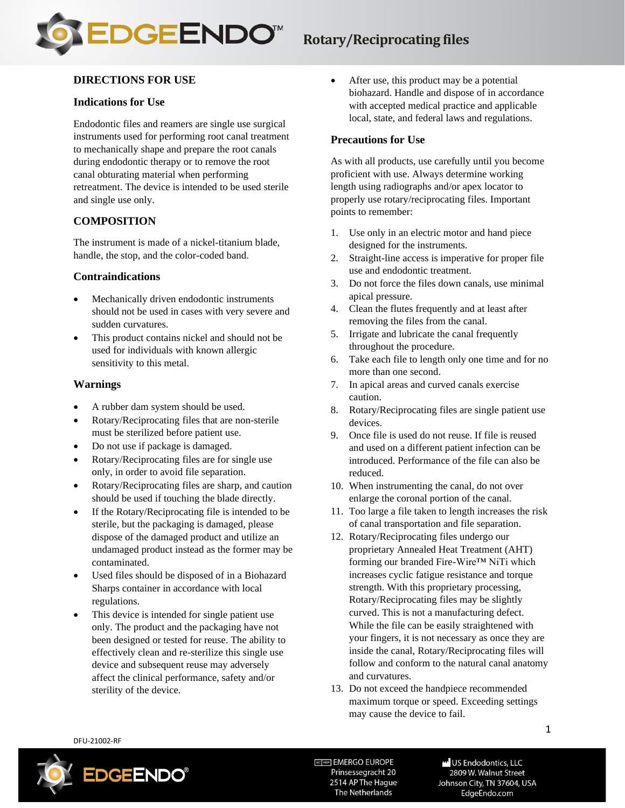

## **Rotary/Reciprocating files**

## **DIRECTIONS FOR USE**

#### **Indications for Use**

Endodontic files and reamers are single use surgical instruments used for performing root canal treatment to mechanically shape and prepare the root canals during endodontic therapy or to remove the root canal obturating material when performing retreatment. The device is intended to be used sterile and single use only.

### **COMPOSITION**

The instrument is made of a nickel-titanium blade, handle, the stop, and the color-coded band.

#### **Contraindications**

- Mechanically driven endodontic instruments should not be used in cases with very severe and sudden curvatures.
- This product contains nickel and should not be used for individuals with known allergic sensitivity to this metal.

#### **Warnings**

- A rubber dam system should be used.
- Rotary/Reciprocating files that are non-sterile must be sterilized before patient use.
- Do not use if package is damaged.
- Rotary/Reciprocating files are for single use only, in order to avoid file separation.
- Rotary/Reciprocating files are sharp, and caution should be used if touching the blade directly.
- If the Rotary/Reciprocating file is intended to be sterile, but the packaging is damaged, please dispose of the damaged product and utilize an undamaged product instead as the former may be contaminated.
- Used files should be disposed of in a Biohazard Sharps container in accordance with local regulations.
- This device is intended for single patient use only. The product and the packaging have not been designed or tested for reuse. The ability to effectively clean and re-sterilize this single use device and subsequent reuse may adversely affect the clinical performance, safety and/or sterility of the device.

• After use, this product may be a potential biohazard. Handle and dispose of in accordance with accepted medical practice and applicable local, state, and federal laws and regulations.

#### **Precautions for Use**

As with all products, use carefully until you become proficient with use. Always determine working length using radiographs and/or apex locator to properly use rotary/reciprocating files. Important points to remember:

- 1. Use only in an electric motor and hand piece designed for the instruments.
- 2. Straight-line access is imperative for proper file use and endodontic treatment.
- 3. Do not force the files down canals, use minimal apical pressure.
- 4. Clean the flutes frequently and at least after removing the files from the canal.
- 5. Irrigate and lubricate the canal frequently throughout the procedure.
- 6. Take each file to length only one time and for no more than one second.
- 7. In apical areas and curved canals exercise caution.
- 8. Rotary/Reciprocating files are single patient use devices.
- 9. Once file is used do not reuse. If file is reused and used on a different patient infection can be introduced. Performance of the file can also be reduced.
- 10. When instrumenting the canal, do not over enlarge the coronal portion of the canal.
- 11. Too large a file taken to length increases the risk of canal transportation and file separation.
- 12. Rotary/Reciprocating files undergo our proprietary Annealed Heat Treatment (AHT) forming our branded Fire-Wire™ NiTi which increases cyclic fatigue resistance and torque strength. With this proprietary processing, Rotary/Reciprocating files may be slightly curved. This is not a manufacturing defect. While the file can be easily straightened with your fingers, it is not necessary as once they are inside the canal, Rotary/Reciprocating files will follow and conform to the natural canal anatomy and curvatures.
- 13. Do not exceed the handpiece recommended maximum torque or speed. Exceeding settings may cause the device to fail.

DFU-21002-RF



ECTREP EMERGO EUROPE Prinsessegracht 20 2514 AP The Hague The Netherlands

**W** US Endodontics, LLC 2809 W. Walnut Street Johnson City, TN 37604, USA EdgeEndo.com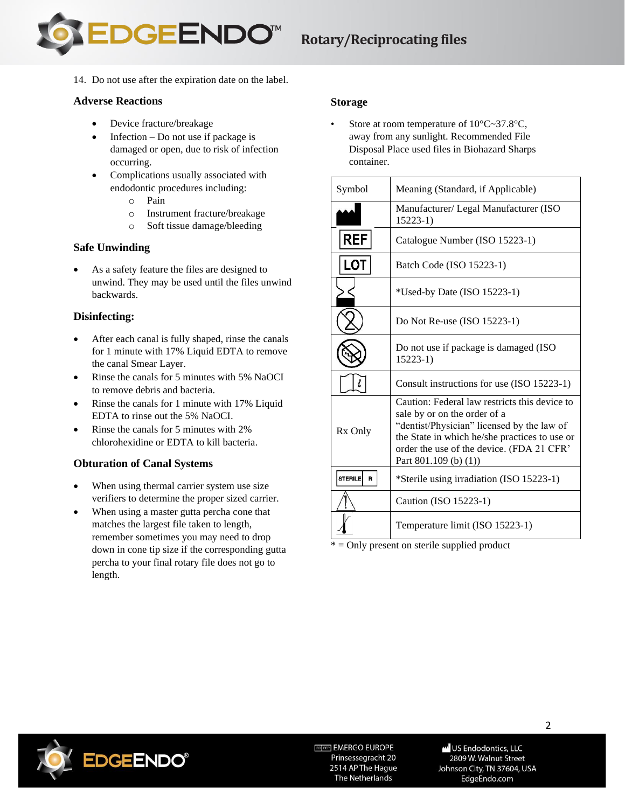

14. Do not use after the expiration date on the label.

## **Adverse Reactions**

- Device fracture/breakage
- Infection Do not use if package is damaged or open, due to risk of infection occurring.
- Complications usually associated with endodontic procedures including:
	- o Pain
	- o Instrument fracture/breakage
	- o Soft tissue damage/bleeding

## **Safe Unwinding**

As a safety feature the files are designed to unwind. They may be used until the files unwind backwards.

## **Disinfecting:**

- After each canal is fully shaped, rinse the canals for 1 minute with 17% Liquid EDTA to remove the canal Smear Layer.
- Rinse the canals for 5 minutes with 5% NaOCI to remove debris and bacteria.
- Rinse the canals for 1 minute with 17% Liquid EDTA to rinse out the 5% NaOCI.
- Rinse the canals for 5 minutes with 2% chlorohexidine or EDTA to kill bacteria.

## **Obturation of Canal Systems**

- When using thermal carrier system use size verifiers to determine the proper sized carrier.
- When using a master gutta percha cone that matches the largest file taken to length, remember sometimes you may need to drop down in cone tip size if the corresponding gutta percha to your final rotary file does not go to length.

## **Storage**

Store at room temperature of  $10^{\circ}$ C $\sim$ 37.8 $^{\circ}$ C, away from any sunlight. Recommended File Disposal Place used files in Biohazard Sharps container.

| Symbol              | Meaning (Standard, if Applicable)                                                                                                                                                                                                                       |
|---------------------|---------------------------------------------------------------------------------------------------------------------------------------------------------------------------------------------------------------------------------------------------------|
|                     | Manufacturer/Legal Manufacturer (ISO)<br>$15223-1)$                                                                                                                                                                                                     |
| <b>REF</b>          | Catalogue Number (ISO 15223-1)                                                                                                                                                                                                                          |
| <b>LOT</b>          | Batch Code (ISO 15223-1)                                                                                                                                                                                                                                |
|                     | *Used-by Date (ISO 15223-1)                                                                                                                                                                                                                             |
|                     | Do Not Re-use (ISO 15223-1)                                                                                                                                                                                                                             |
|                     | Do not use if package is damaged (ISO<br>$15223-1)$                                                                                                                                                                                                     |
|                     | Consult instructions for use (ISO 15223-1)                                                                                                                                                                                                              |
| Rx Only             | Caution: Federal law restricts this device to<br>sale by or on the order of a<br>"dentist/Physician" licensed by the law of<br>the State in which he/she practices to use or<br>order the use of the device. (FDA 21 CFR'<br>Part $801.109$ (b) $(1)$ ) |
| <b>STERILE</b><br>R | *Sterile using irradiation (ISO 15223-1)                                                                                                                                                                                                                |
|                     | Caution (ISO 15223-1)                                                                                                                                                                                                                                   |
|                     | Temperature limit (ISO 15223-1)                                                                                                                                                                                                                         |

\* = Only present on sterile supplied product



ECTREP EMERGO EUROPE Prinsessegracht 20 2514 AP The Hague The Netherlands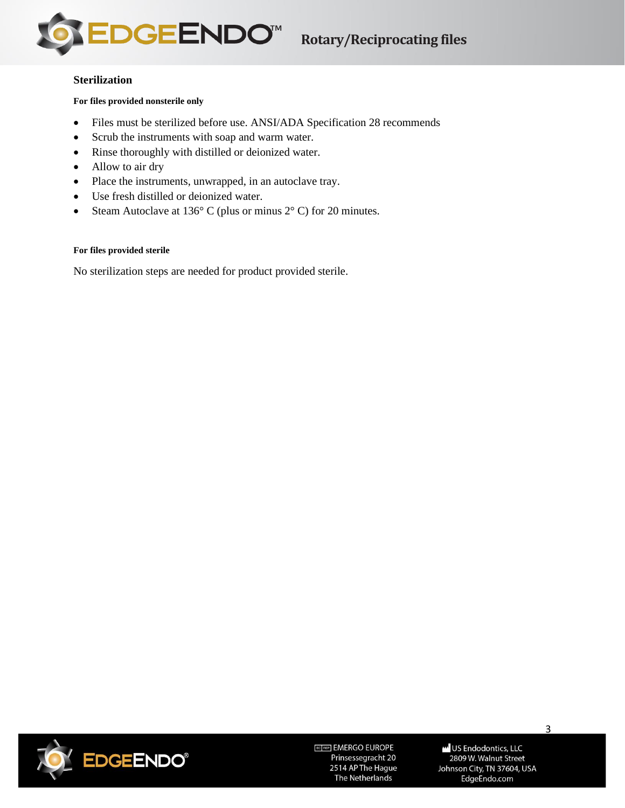

### **Sterilization**

**For files provided nonsterile only**

- Files must be sterilized before use. ANSI/ADA Specification 28 recommends
- Scrub the instruments with soap and warm water.
- Rinse thoroughly with distilled or deionized water.
- Allow to air dry
- Place the instruments, unwrapped, in an autoclave tray.
- Use fresh distilled or deionized water.
- Steam Autoclave at 136° C (plus or minus 2° C) for 20 minutes.

#### **For files provided sterile**

No sterilization steps are needed for product provided sterile.



ECTREP EMERGO EUROPE Prinsessegracht 20 2514 AP The Hague The Netherlands

**W** US Endodontics, LLC 2809 W. Walnut Street Johnson City, TN 37604, USA EdgeEndo.com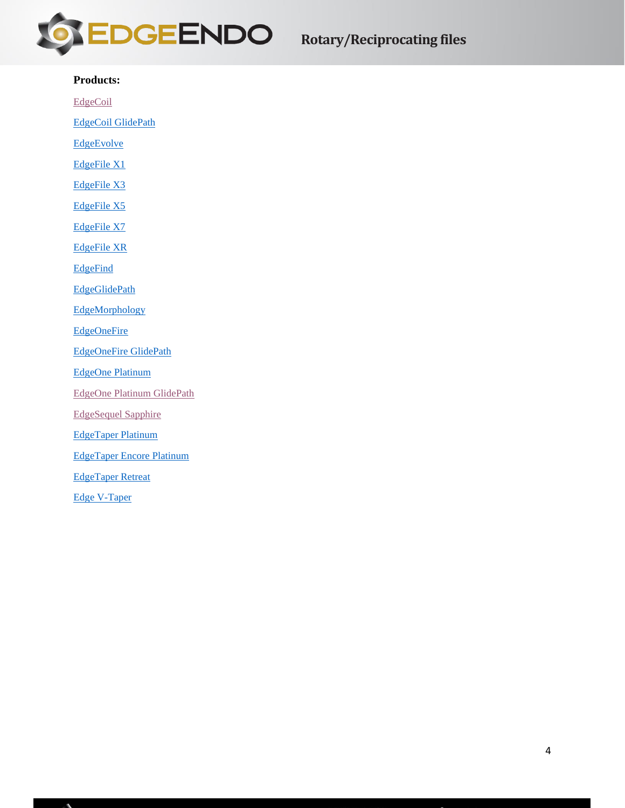

### **Products:**

[EdgeCoil](#page-4-0)

[EdgeCoil GlidePath](#page-5-0)

**[EdgeEvolve](#page-7-0)** 

[EdgeFile X1](#page-11-0)

[EdgeFile X3](#page-12-0)

[EdgeFile X5](#page-13-0)

[EdgeFile X7](#page-14-0)

[EdgeFile XR](#page-15-0)

**[EdgeFind](#page-15-1)** 

[EdgeGlidePath](#page-16-0)

**[EdgeMorphology](#page-16-1)** 

**[EdgeOneFire](#page-17-0)** 

[EdgeOneFire GlidePath](#page-18-0)

[EdgeOne Platinum](#page-20-0)

[EdgeOne Platinum GlidePath](#page-20-1)

[EdgeSequel Sapphire](#page-22-0)

[EdgeTaper Platinum](#page-23-0)

[EdgeTaper Encore Platinum](#page-24-0)

[EdgeTaper Retreat](#page-25-0)

[Edge V-Taper](#page-25-1)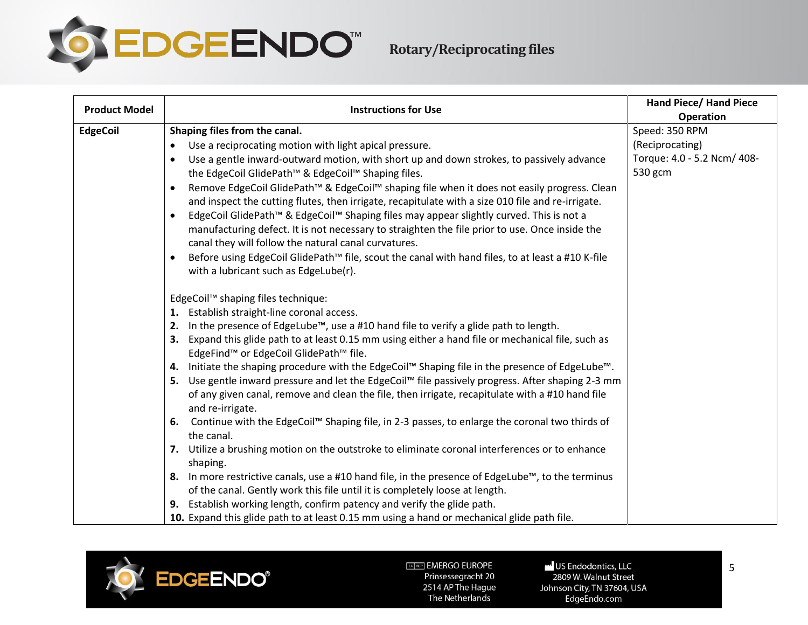

<span id="page-4-0"></span>

| <b>Product Model</b> | <b>Instructions for Use</b>                                                                                                               | <b>Hand Piece/ Hand Piece</b> |
|----------------------|-------------------------------------------------------------------------------------------------------------------------------------------|-------------------------------|
|                      |                                                                                                                                           | <b>Operation</b>              |
| <b>EdgeCoil</b>      | Shaping files from the canal.                                                                                                             | Speed: 350 RPM                |
|                      | Use a reciprocating motion with light apical pressure.<br>$\bullet$                                                                       | (Reciprocating)               |
|                      | Use a gentle inward-outward motion, with short up and down strokes, to passively advance<br>$\bullet$                                     | Torque: 4.0 - 5.2 Ncm/ 408-   |
|                      | the EdgeCoil GlidePath™ & EdgeCoil™ Shaping files.                                                                                        | 530 gcm                       |
|                      | Remove EdgeCoil GlidePath™ & EdgeCoil™ shaping file when it does not easily progress. Clean                                               |                               |
|                      | and inspect the cutting flutes, then irrigate, recapitulate with a size 010 file and re-irrigate.                                         |                               |
|                      | EdgeCoil GlidePath™ & EdgeCoil™ Shaping files may appear slightly curved. This is not a                                                   |                               |
|                      | manufacturing defect. It is not necessary to straighten the file prior to use. Once inside the                                            |                               |
|                      | canal they will follow the natural canal curvatures.                                                                                      |                               |
|                      | Before using EdgeCoil GlidePath™ file, scout the canal with hand files, to at least a #10 K-file<br>with a lubricant such as EdgeLube(r). |                               |
|                      |                                                                                                                                           |                               |
|                      | EdgeCoil™ shaping files technique:                                                                                                        |                               |
|                      | 1. Establish straight-line coronal access.                                                                                                |                               |
|                      | In the presence of EdgeLube™, use a #10 hand file to verify a glide path to length.<br>2.                                                 |                               |
|                      | 3. Expand this glide path to at least 0.15 mm using either a hand file or mechanical file, such as                                        |                               |
|                      | EdgeFind™ or EdgeCoil GlidePath™ file.                                                                                                    |                               |
|                      | 4. Initiate the shaping procedure with the EdgeCoil™ Shaping file in the presence of EdgeLube™.                                           |                               |
|                      | 5. Use gentle inward pressure and let the EdgeCoil™ file passively progress. After shaping 2-3 mm                                         |                               |
|                      | of any given canal, remove and clean the file, then irrigate, recapitulate with a #10 hand file<br>and re-irrigate.                       |                               |
|                      | Continue with the EdgeCoil™ Shaping file, in 2-3 passes, to enlarge the coronal two thirds of<br>6.<br>the canal.                         |                               |
|                      | 7. Utilize a brushing motion on the outstroke to eliminate coronal interferences or to enhance<br>shaping.                                |                               |
|                      | 8. In more restrictive canals, use a #10 hand file, in the presence of EdgeLube™, to the terminus                                         |                               |
|                      | of the canal. Gently work this file until it is completely loose at length.                                                               |                               |
|                      | 9. Establish working length, confirm patency and verify the glide path.                                                                   |                               |
|                      | 10. Expand this glide path to at least 0.15 mm using a hand or mechanical glide path file.                                                |                               |
|                      |                                                                                                                                           |                               |



US Endodontics, LLC 2809 W. Walnut Street Johnson City, TN 37604, USA EdgeEndo.com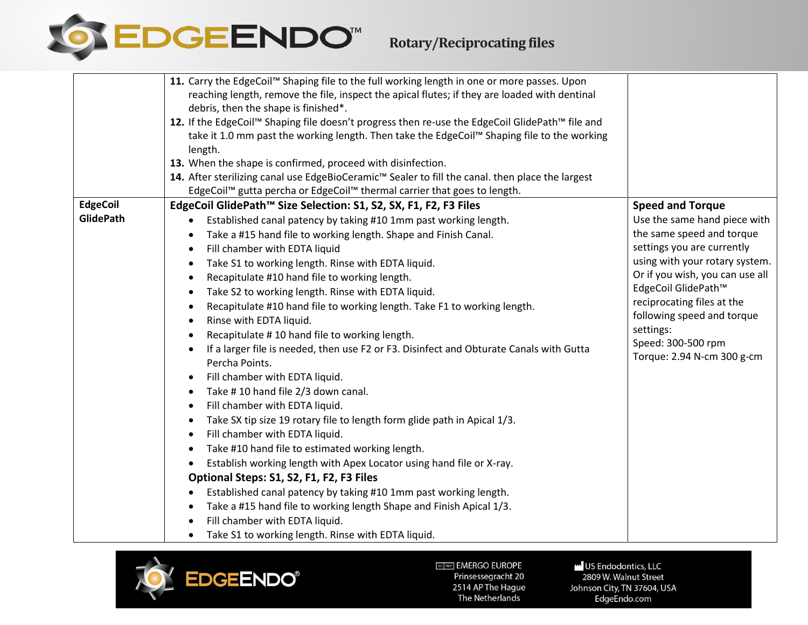

|                  | 11. Carry the EdgeCoil™ Shaping file to the full working length in one or more passes. Upon      |                                 |
|------------------|--------------------------------------------------------------------------------------------------|---------------------------------|
|                  | reaching length, remove the file, inspect the apical flutes; if they are loaded with dentinal    |                                 |
|                  | debris, then the shape is finished*.                                                             |                                 |
|                  | 12. If the EdgeCoil™ Shaping file doesn't progress then re-use the EdgeCoil GlidePath™ file and  |                                 |
|                  | take it 1.0 mm past the working length. Then take the EdgeCoil™ Shaping file to the working      |                                 |
|                  | length.                                                                                          |                                 |
|                  | 13. When the shape is confirmed, proceed with disinfection.                                      |                                 |
|                  | 14. After sterilizing canal use EdgeBioCeramic™ Sealer to fill the canal. then place the largest |                                 |
|                  | EdgeCoil™ gutta percha or EdgeCoil™ thermal carrier that goes to length.                         |                                 |
| <b>EdgeCoil</b>  | EdgeCoil GlidePath™ Size Selection: S1, S2, SX, F1, F2, F3 Files                                 | <b>Speed and Torque</b>         |
| <b>GlidePath</b> | Established canal patency by taking #10 1mm past working length.                                 | Use the same hand piece with    |
|                  | Take a #15 hand file to working length. Shape and Finish Canal.                                  | the same speed and torque       |
|                  | Fill chamber with EDTA liquid<br>$\bullet$                                                       | settings you are currently      |
|                  | Take S1 to working length. Rinse with EDTA liquid.<br>$\bullet$                                  | using with your rotary system.  |
|                  | Recapitulate #10 hand file to working length.<br>$\bullet$                                       | Or if you wish, you can use all |
|                  | Take S2 to working length. Rinse with EDTA liquid.<br>$\bullet$                                  | EdgeCoil GlidePath™             |
|                  | Recapitulate #10 hand file to working length. Take F1 to working length.<br>$\bullet$            | reciprocating files at the      |
|                  | Rinse with EDTA liquid.                                                                          | following speed and torque      |
|                  | Recapitulate #10 hand file to working length.<br>$\bullet$                                       | settings:                       |
|                  | If a larger file is needed, then use F2 or F3. Disinfect and Obturate Canals with Gutta          | Speed: 300-500 rpm              |
|                  | Percha Points.                                                                                   | Torque: 2.94 N-cm 300 g-cm      |
|                  | Fill chamber with EDTA liquid.<br>$\bullet$                                                      |                                 |
|                  | Take #10 hand file 2/3 down canal.<br>$\bullet$                                                  |                                 |
|                  | Fill chamber with EDTA liquid.<br>$\bullet$                                                      |                                 |
|                  | Take SX tip size 19 rotary file to length form glide path in Apical 1/3.<br>$\bullet$            |                                 |
|                  | Fill chamber with EDTA liquid.<br>$\bullet$                                                      |                                 |
|                  | Take #10 hand file to estimated working length.<br>$\bullet$                                     |                                 |
|                  | Establish working length with Apex Locator using hand file or X-ray.                             |                                 |
|                  | Optional Steps: S1, S2, F1, F2, F3 Files                                                         |                                 |
|                  | Established canal patency by taking #10 1mm past working length.                                 |                                 |
|                  | Take a #15 hand file to working length Shape and Finish Apical 1/3.                              |                                 |
|                  | Fill chamber with EDTA liquid.                                                                   |                                 |
|                  | Take S1 to working length. Rinse with EDTA liquid.<br>$\bullet$                                  |                                 |

<span id="page-5-0"></span>

US Endodontics, LLC -<br>2809 W. Walnut Street Johnson City, TN 37604, USA EdgeEndo.com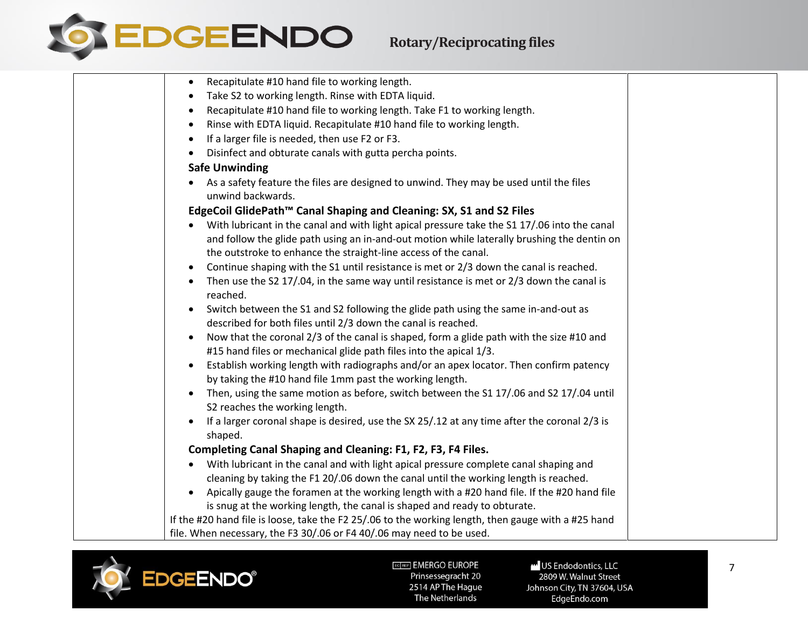

| Recapitulate #10 hand file to working length.<br>$\bullet$<br>Take S2 to working length. Rinse with EDTA liquid.<br>Recapitulate #10 hand file to working length. Take F1 to working length.<br>$\bullet$<br>Rinse with EDTA liquid. Recapitulate #10 hand file to working length.<br>If a larger file is needed, then use F2 or F3.<br>$\bullet$<br>Disinfect and obturate canals with gutta percha points.<br><b>Safe Unwinding</b><br>As a safety feature the files are designed to unwind. They may be used until the files<br>unwind backwards.<br>EdgeCoil GlidePath™ Canal Shaping and Cleaning: SX, S1 and S2 Files<br>With lubricant in the canal and with light apical pressure take the S1 17/.06 into the canal<br>and follow the glide path using an in-and-out motion while laterally brushing the dentin on<br>the outstroke to enhance the straight-line access of the canal.<br>Continue shaping with the S1 until resistance is met or 2/3 down the canal is reached.<br>Then use the S2 17/.04, in the same way until resistance is met or 2/3 down the canal is<br>reached.<br>Switch between the S1 and S2 following the glide path using the same in-and-out as<br>described for both files until 2/3 down the canal is reached.<br>Now that the coronal 2/3 of the canal is shaped, form a glide path with the size #10 and<br>#15 hand files or mechanical glide path files into the apical 1/3.<br>Establish working length with radiographs and/or an apex locator. Then confirm patency<br>by taking the #10 hand file 1mm past the working length.<br>Then, using the same motion as before, switch between the S1 17/.06 and S2 17/.04 until<br>S2 reaches the working length.<br>If a larger coronal shape is desired, use the SX 25/.12 at any time after the coronal 2/3 is<br>shaped.<br>Completing Canal Shaping and Cleaning: F1, F2, F3, F4 Files.<br>With lubricant in the canal and with light apical pressure complete canal shaping and<br>cleaning by taking the F1 20/.06 down the canal until the working length is reached.<br>Apically gauge the foramen at the working length with a #20 hand file. If the #20 hand file<br>is snug at the working length, the canal is shaped and ready to obturate.<br>If the #20 hand file is loose, take the F2 25/.06 to the working length, then gauge with a #25 hand<br>file. When necessary, the F3 30/.06 or F4 40/.06 may need to be used. |  |
|-------------------------------------------------------------------------------------------------------------------------------------------------------------------------------------------------------------------------------------------------------------------------------------------------------------------------------------------------------------------------------------------------------------------------------------------------------------------------------------------------------------------------------------------------------------------------------------------------------------------------------------------------------------------------------------------------------------------------------------------------------------------------------------------------------------------------------------------------------------------------------------------------------------------------------------------------------------------------------------------------------------------------------------------------------------------------------------------------------------------------------------------------------------------------------------------------------------------------------------------------------------------------------------------------------------------------------------------------------------------------------------------------------------------------------------------------------------------------------------------------------------------------------------------------------------------------------------------------------------------------------------------------------------------------------------------------------------------------------------------------------------------------------------------------------------------------------------------------------------------------------------------------------------------------------------------------------------------------------------------------------------------------------------------------------------------------------------------------------------------------------------------------------------------------------------------------------------------------------------------------------------------------------------------------------------------------------------------------------------------------------------------------------------------------------------|--|
|                                                                                                                                                                                                                                                                                                                                                                                                                                                                                                                                                                                                                                                                                                                                                                                                                                                                                                                                                                                                                                                                                                                                                                                                                                                                                                                                                                                                                                                                                                                                                                                                                                                                                                                                                                                                                                                                                                                                                                                                                                                                                                                                                                                                                                                                                                                                                                                                                                     |  |
|                                                                                                                                                                                                                                                                                                                                                                                                                                                                                                                                                                                                                                                                                                                                                                                                                                                                                                                                                                                                                                                                                                                                                                                                                                                                                                                                                                                                                                                                                                                                                                                                                                                                                                                                                                                                                                                                                                                                                                                                                                                                                                                                                                                                                                                                                                                                                                                                                                     |  |
|                                                                                                                                                                                                                                                                                                                                                                                                                                                                                                                                                                                                                                                                                                                                                                                                                                                                                                                                                                                                                                                                                                                                                                                                                                                                                                                                                                                                                                                                                                                                                                                                                                                                                                                                                                                                                                                                                                                                                                                                                                                                                                                                                                                                                                                                                                                                                                                                                                     |  |
|                                                                                                                                                                                                                                                                                                                                                                                                                                                                                                                                                                                                                                                                                                                                                                                                                                                                                                                                                                                                                                                                                                                                                                                                                                                                                                                                                                                                                                                                                                                                                                                                                                                                                                                                                                                                                                                                                                                                                                                                                                                                                                                                                                                                                                                                                                                                                                                                                                     |  |
|                                                                                                                                                                                                                                                                                                                                                                                                                                                                                                                                                                                                                                                                                                                                                                                                                                                                                                                                                                                                                                                                                                                                                                                                                                                                                                                                                                                                                                                                                                                                                                                                                                                                                                                                                                                                                                                                                                                                                                                                                                                                                                                                                                                                                                                                                                                                                                                                                                     |  |
|                                                                                                                                                                                                                                                                                                                                                                                                                                                                                                                                                                                                                                                                                                                                                                                                                                                                                                                                                                                                                                                                                                                                                                                                                                                                                                                                                                                                                                                                                                                                                                                                                                                                                                                                                                                                                                                                                                                                                                                                                                                                                                                                                                                                                                                                                                                                                                                                                                     |  |
|                                                                                                                                                                                                                                                                                                                                                                                                                                                                                                                                                                                                                                                                                                                                                                                                                                                                                                                                                                                                                                                                                                                                                                                                                                                                                                                                                                                                                                                                                                                                                                                                                                                                                                                                                                                                                                                                                                                                                                                                                                                                                                                                                                                                                                                                                                                                                                                                                                     |  |
|                                                                                                                                                                                                                                                                                                                                                                                                                                                                                                                                                                                                                                                                                                                                                                                                                                                                                                                                                                                                                                                                                                                                                                                                                                                                                                                                                                                                                                                                                                                                                                                                                                                                                                                                                                                                                                                                                                                                                                                                                                                                                                                                                                                                                                                                                                                                                                                                                                     |  |
|                                                                                                                                                                                                                                                                                                                                                                                                                                                                                                                                                                                                                                                                                                                                                                                                                                                                                                                                                                                                                                                                                                                                                                                                                                                                                                                                                                                                                                                                                                                                                                                                                                                                                                                                                                                                                                                                                                                                                                                                                                                                                                                                                                                                                                                                                                                                                                                                                                     |  |
|                                                                                                                                                                                                                                                                                                                                                                                                                                                                                                                                                                                                                                                                                                                                                                                                                                                                                                                                                                                                                                                                                                                                                                                                                                                                                                                                                                                                                                                                                                                                                                                                                                                                                                                                                                                                                                                                                                                                                                                                                                                                                                                                                                                                                                                                                                                                                                                                                                     |  |
|                                                                                                                                                                                                                                                                                                                                                                                                                                                                                                                                                                                                                                                                                                                                                                                                                                                                                                                                                                                                                                                                                                                                                                                                                                                                                                                                                                                                                                                                                                                                                                                                                                                                                                                                                                                                                                                                                                                                                                                                                                                                                                                                                                                                                                                                                                                                                                                                                                     |  |
|                                                                                                                                                                                                                                                                                                                                                                                                                                                                                                                                                                                                                                                                                                                                                                                                                                                                                                                                                                                                                                                                                                                                                                                                                                                                                                                                                                                                                                                                                                                                                                                                                                                                                                                                                                                                                                                                                                                                                                                                                                                                                                                                                                                                                                                                                                                                                                                                                                     |  |
|                                                                                                                                                                                                                                                                                                                                                                                                                                                                                                                                                                                                                                                                                                                                                                                                                                                                                                                                                                                                                                                                                                                                                                                                                                                                                                                                                                                                                                                                                                                                                                                                                                                                                                                                                                                                                                                                                                                                                                                                                                                                                                                                                                                                                                                                                                                                                                                                                                     |  |
|                                                                                                                                                                                                                                                                                                                                                                                                                                                                                                                                                                                                                                                                                                                                                                                                                                                                                                                                                                                                                                                                                                                                                                                                                                                                                                                                                                                                                                                                                                                                                                                                                                                                                                                                                                                                                                                                                                                                                                                                                                                                                                                                                                                                                                                                                                                                                                                                                                     |  |
|                                                                                                                                                                                                                                                                                                                                                                                                                                                                                                                                                                                                                                                                                                                                                                                                                                                                                                                                                                                                                                                                                                                                                                                                                                                                                                                                                                                                                                                                                                                                                                                                                                                                                                                                                                                                                                                                                                                                                                                                                                                                                                                                                                                                                                                                                                                                                                                                                                     |  |
|                                                                                                                                                                                                                                                                                                                                                                                                                                                                                                                                                                                                                                                                                                                                                                                                                                                                                                                                                                                                                                                                                                                                                                                                                                                                                                                                                                                                                                                                                                                                                                                                                                                                                                                                                                                                                                                                                                                                                                                                                                                                                                                                                                                                                                                                                                                                                                                                                                     |  |
|                                                                                                                                                                                                                                                                                                                                                                                                                                                                                                                                                                                                                                                                                                                                                                                                                                                                                                                                                                                                                                                                                                                                                                                                                                                                                                                                                                                                                                                                                                                                                                                                                                                                                                                                                                                                                                                                                                                                                                                                                                                                                                                                                                                                                                                                                                                                                                                                                                     |  |
|                                                                                                                                                                                                                                                                                                                                                                                                                                                                                                                                                                                                                                                                                                                                                                                                                                                                                                                                                                                                                                                                                                                                                                                                                                                                                                                                                                                                                                                                                                                                                                                                                                                                                                                                                                                                                                                                                                                                                                                                                                                                                                                                                                                                                                                                                                                                                                                                                                     |  |
|                                                                                                                                                                                                                                                                                                                                                                                                                                                                                                                                                                                                                                                                                                                                                                                                                                                                                                                                                                                                                                                                                                                                                                                                                                                                                                                                                                                                                                                                                                                                                                                                                                                                                                                                                                                                                                                                                                                                                                                                                                                                                                                                                                                                                                                                                                                                                                                                                                     |  |
|                                                                                                                                                                                                                                                                                                                                                                                                                                                                                                                                                                                                                                                                                                                                                                                                                                                                                                                                                                                                                                                                                                                                                                                                                                                                                                                                                                                                                                                                                                                                                                                                                                                                                                                                                                                                                                                                                                                                                                                                                                                                                                                                                                                                                                                                                                                                                                                                                                     |  |
|                                                                                                                                                                                                                                                                                                                                                                                                                                                                                                                                                                                                                                                                                                                                                                                                                                                                                                                                                                                                                                                                                                                                                                                                                                                                                                                                                                                                                                                                                                                                                                                                                                                                                                                                                                                                                                                                                                                                                                                                                                                                                                                                                                                                                                                                                                                                                                                                                                     |  |
|                                                                                                                                                                                                                                                                                                                                                                                                                                                                                                                                                                                                                                                                                                                                                                                                                                                                                                                                                                                                                                                                                                                                                                                                                                                                                                                                                                                                                                                                                                                                                                                                                                                                                                                                                                                                                                                                                                                                                                                                                                                                                                                                                                                                                                                                                                                                                                                                                                     |  |
|                                                                                                                                                                                                                                                                                                                                                                                                                                                                                                                                                                                                                                                                                                                                                                                                                                                                                                                                                                                                                                                                                                                                                                                                                                                                                                                                                                                                                                                                                                                                                                                                                                                                                                                                                                                                                                                                                                                                                                                                                                                                                                                                                                                                                                                                                                                                                                                                                                     |  |
|                                                                                                                                                                                                                                                                                                                                                                                                                                                                                                                                                                                                                                                                                                                                                                                                                                                                                                                                                                                                                                                                                                                                                                                                                                                                                                                                                                                                                                                                                                                                                                                                                                                                                                                                                                                                                                                                                                                                                                                                                                                                                                                                                                                                                                                                                                                                                                                                                                     |  |
|                                                                                                                                                                                                                                                                                                                                                                                                                                                                                                                                                                                                                                                                                                                                                                                                                                                                                                                                                                                                                                                                                                                                                                                                                                                                                                                                                                                                                                                                                                                                                                                                                                                                                                                                                                                                                                                                                                                                                                                                                                                                                                                                                                                                                                                                                                                                                                                                                                     |  |
|                                                                                                                                                                                                                                                                                                                                                                                                                                                                                                                                                                                                                                                                                                                                                                                                                                                                                                                                                                                                                                                                                                                                                                                                                                                                                                                                                                                                                                                                                                                                                                                                                                                                                                                                                                                                                                                                                                                                                                                                                                                                                                                                                                                                                                                                                                                                                                                                                                     |  |
|                                                                                                                                                                                                                                                                                                                                                                                                                                                                                                                                                                                                                                                                                                                                                                                                                                                                                                                                                                                                                                                                                                                                                                                                                                                                                                                                                                                                                                                                                                                                                                                                                                                                                                                                                                                                                                                                                                                                                                                                                                                                                                                                                                                                                                                                                                                                                                                                                                     |  |



US Endodontics, LLC 2809 W. Walnut Street Johnson City, TN 37604, USA EdgeEndo.com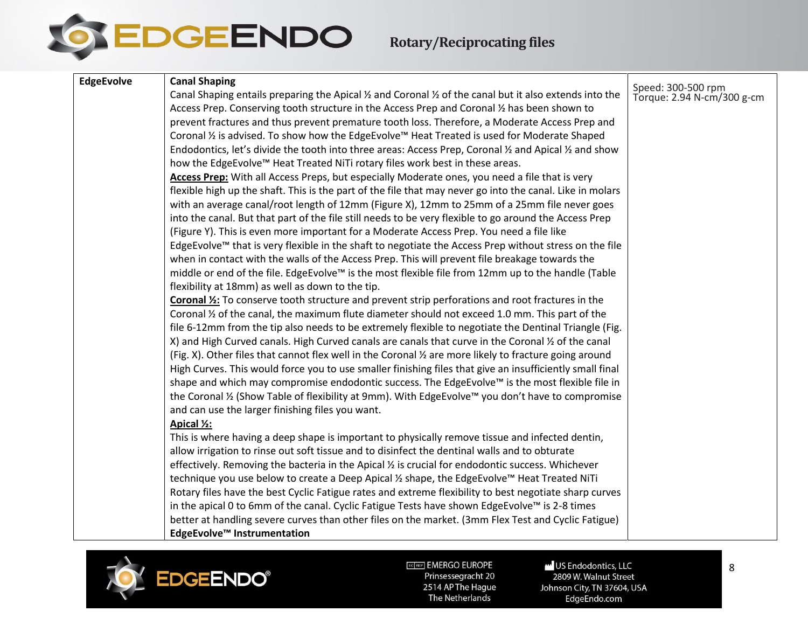

**Rotary/Reciprocating files**

<span id="page-7-0"></span>

| Speed: 300-500 rpm<br>Torque: 2.94 N-cm/300 g-cm<br>Canal Shaping entails preparing the Apical $\frac{1}{2}$ and Coronal $\frac{1}{2}$ of the canal but it also extends into the<br>Access Prep. Conserving tooth structure in the Access Prep and Coronal 1/2 has been shown to<br>prevent fractures and thus prevent premature tooth loss. Therefore, a Moderate Access Prep and<br>Coronal 1/2 is advised. To show how the EdgeEvolve™ Heat Treated is used for Moderate Shaped<br>Endodontics, let's divide the tooth into three areas: Access Prep, Coronal 1/2 and Apical 1/2 and show<br>how the EdgeEvolve™ Heat Treated NiTi rotary files work best in these areas.<br>Access Prep: With all Access Preps, but especially Moderate ones, you need a file that is very<br>flexible high up the shaft. This is the part of the file that may never go into the canal. Like in molars<br>with an average canal/root length of 12mm (Figure X), 12mm to 25mm of a 25mm file never goes<br>into the canal. But that part of the file still needs to be very flexible to go around the Access Prep<br>(Figure Y). This is even more important for a Moderate Access Prep. You need a file like<br>EdgeEvolve™ that is very flexible in the shaft to negotiate the Access Prep without stress on the file<br>when in contact with the walls of the Access Prep. This will prevent file breakage towards the<br>middle or end of the file. EdgeEvolve <sup>™</sup> is the most flexible file from 12mm up to the handle (Table<br>flexibility at 18mm) as well as down to the tip.<br>Coronal 1/2: To conserve tooth structure and prevent strip perforations and root fractures in the<br>Coronal 1/2 of the canal, the maximum flute diameter should not exceed 1.0 mm. This part of the<br>file 6-12mm from the tip also needs to be extremely flexible to negotiate the Dentinal Triangle (Fig.<br>X) and High Curved canals. High Curved canals are canals that curve in the Coronal % of the canal<br>(Fig. X). Other files that cannot flex well in the Coronal % are more likely to fracture going around<br>High Curves. This would force you to use smaller finishing files that give an insufficiently small final<br>shape and which may compromise endodontic success. The EdgeEvolve™ is the most flexible file in<br>the Coronal ½ (Show Table of flexibility at 9mm). With EdgeEvolve™ you don't have to compromise<br>and can use the larger finishing files you want.<br>Apical 1/2: | <b>EdgeEvolve</b> | <b>Canal Shaping</b>                                                                            |  |
|---------------------------------------------------------------------------------------------------------------------------------------------------------------------------------------------------------------------------------------------------------------------------------------------------------------------------------------------------------------------------------------------------------------------------------------------------------------------------------------------------------------------------------------------------------------------------------------------------------------------------------------------------------------------------------------------------------------------------------------------------------------------------------------------------------------------------------------------------------------------------------------------------------------------------------------------------------------------------------------------------------------------------------------------------------------------------------------------------------------------------------------------------------------------------------------------------------------------------------------------------------------------------------------------------------------------------------------------------------------------------------------------------------------------------------------------------------------------------------------------------------------------------------------------------------------------------------------------------------------------------------------------------------------------------------------------------------------------------------------------------------------------------------------------------------------------------------------------------------------------------------------------------------------------------------------------------------------------------------------------------------------------------------------------------------------------------------------------------------------------------------------------------------------------------------------------------------------------------------------------------------------------------------------------------------------------------------------------------------------------------------------------------------------------------------------------------------------------------------------------------------|-------------------|-------------------------------------------------------------------------------------------------|--|
|                                                                                                                                                                                                                                                                                                                                                                                                                                                                                                                                                                                                                                                                                                                                                                                                                                                                                                                                                                                                                                                                                                                                                                                                                                                                                                                                                                                                                                                                                                                                                                                                                                                                                                                                                                                                                                                                                                                                                                                                                                                                                                                                                                                                                                                                                                                                                                                                                                                                                                         |                   |                                                                                                 |  |
|                                                                                                                                                                                                                                                                                                                                                                                                                                                                                                                                                                                                                                                                                                                                                                                                                                                                                                                                                                                                                                                                                                                                                                                                                                                                                                                                                                                                                                                                                                                                                                                                                                                                                                                                                                                                                                                                                                                                                                                                                                                                                                                                                                                                                                                                                                                                                                                                                                                                                                         |                   |                                                                                                 |  |
|                                                                                                                                                                                                                                                                                                                                                                                                                                                                                                                                                                                                                                                                                                                                                                                                                                                                                                                                                                                                                                                                                                                                                                                                                                                                                                                                                                                                                                                                                                                                                                                                                                                                                                                                                                                                                                                                                                                                                                                                                                                                                                                                                                                                                                                                                                                                                                                                                                                                                                         |                   |                                                                                                 |  |
|                                                                                                                                                                                                                                                                                                                                                                                                                                                                                                                                                                                                                                                                                                                                                                                                                                                                                                                                                                                                                                                                                                                                                                                                                                                                                                                                                                                                                                                                                                                                                                                                                                                                                                                                                                                                                                                                                                                                                                                                                                                                                                                                                                                                                                                                                                                                                                                                                                                                                                         |                   |                                                                                                 |  |
|                                                                                                                                                                                                                                                                                                                                                                                                                                                                                                                                                                                                                                                                                                                                                                                                                                                                                                                                                                                                                                                                                                                                                                                                                                                                                                                                                                                                                                                                                                                                                                                                                                                                                                                                                                                                                                                                                                                                                                                                                                                                                                                                                                                                                                                                                                                                                                                                                                                                                                         |                   |                                                                                                 |  |
|                                                                                                                                                                                                                                                                                                                                                                                                                                                                                                                                                                                                                                                                                                                                                                                                                                                                                                                                                                                                                                                                                                                                                                                                                                                                                                                                                                                                                                                                                                                                                                                                                                                                                                                                                                                                                                                                                                                                                                                                                                                                                                                                                                                                                                                                                                                                                                                                                                                                                                         |                   |                                                                                                 |  |
|                                                                                                                                                                                                                                                                                                                                                                                                                                                                                                                                                                                                                                                                                                                                                                                                                                                                                                                                                                                                                                                                                                                                                                                                                                                                                                                                                                                                                                                                                                                                                                                                                                                                                                                                                                                                                                                                                                                                                                                                                                                                                                                                                                                                                                                                                                                                                                                                                                                                                                         |                   |                                                                                                 |  |
|                                                                                                                                                                                                                                                                                                                                                                                                                                                                                                                                                                                                                                                                                                                                                                                                                                                                                                                                                                                                                                                                                                                                                                                                                                                                                                                                                                                                                                                                                                                                                                                                                                                                                                                                                                                                                                                                                                                                                                                                                                                                                                                                                                                                                                                                                                                                                                                                                                                                                                         |                   |                                                                                                 |  |
|                                                                                                                                                                                                                                                                                                                                                                                                                                                                                                                                                                                                                                                                                                                                                                                                                                                                                                                                                                                                                                                                                                                                                                                                                                                                                                                                                                                                                                                                                                                                                                                                                                                                                                                                                                                                                                                                                                                                                                                                                                                                                                                                                                                                                                                                                                                                                                                                                                                                                                         |                   |                                                                                                 |  |
|                                                                                                                                                                                                                                                                                                                                                                                                                                                                                                                                                                                                                                                                                                                                                                                                                                                                                                                                                                                                                                                                                                                                                                                                                                                                                                                                                                                                                                                                                                                                                                                                                                                                                                                                                                                                                                                                                                                                                                                                                                                                                                                                                                                                                                                                                                                                                                                                                                                                                                         |                   |                                                                                                 |  |
|                                                                                                                                                                                                                                                                                                                                                                                                                                                                                                                                                                                                                                                                                                                                                                                                                                                                                                                                                                                                                                                                                                                                                                                                                                                                                                                                                                                                                                                                                                                                                                                                                                                                                                                                                                                                                                                                                                                                                                                                                                                                                                                                                                                                                                                                                                                                                                                                                                                                                                         |                   |                                                                                                 |  |
|                                                                                                                                                                                                                                                                                                                                                                                                                                                                                                                                                                                                                                                                                                                                                                                                                                                                                                                                                                                                                                                                                                                                                                                                                                                                                                                                                                                                                                                                                                                                                                                                                                                                                                                                                                                                                                                                                                                                                                                                                                                                                                                                                                                                                                                                                                                                                                                                                                                                                                         |                   |                                                                                                 |  |
|                                                                                                                                                                                                                                                                                                                                                                                                                                                                                                                                                                                                                                                                                                                                                                                                                                                                                                                                                                                                                                                                                                                                                                                                                                                                                                                                                                                                                                                                                                                                                                                                                                                                                                                                                                                                                                                                                                                                                                                                                                                                                                                                                                                                                                                                                                                                                                                                                                                                                                         |                   |                                                                                                 |  |
|                                                                                                                                                                                                                                                                                                                                                                                                                                                                                                                                                                                                                                                                                                                                                                                                                                                                                                                                                                                                                                                                                                                                                                                                                                                                                                                                                                                                                                                                                                                                                                                                                                                                                                                                                                                                                                                                                                                                                                                                                                                                                                                                                                                                                                                                                                                                                                                                                                                                                                         |                   |                                                                                                 |  |
|                                                                                                                                                                                                                                                                                                                                                                                                                                                                                                                                                                                                                                                                                                                                                                                                                                                                                                                                                                                                                                                                                                                                                                                                                                                                                                                                                                                                                                                                                                                                                                                                                                                                                                                                                                                                                                                                                                                                                                                                                                                                                                                                                                                                                                                                                                                                                                                                                                                                                                         |                   |                                                                                                 |  |
|                                                                                                                                                                                                                                                                                                                                                                                                                                                                                                                                                                                                                                                                                                                                                                                                                                                                                                                                                                                                                                                                                                                                                                                                                                                                                                                                                                                                                                                                                                                                                                                                                                                                                                                                                                                                                                                                                                                                                                                                                                                                                                                                                                                                                                                                                                                                                                                                                                                                                                         |                   |                                                                                                 |  |
|                                                                                                                                                                                                                                                                                                                                                                                                                                                                                                                                                                                                                                                                                                                                                                                                                                                                                                                                                                                                                                                                                                                                                                                                                                                                                                                                                                                                                                                                                                                                                                                                                                                                                                                                                                                                                                                                                                                                                                                                                                                                                                                                                                                                                                                                                                                                                                                                                                                                                                         |                   |                                                                                                 |  |
|                                                                                                                                                                                                                                                                                                                                                                                                                                                                                                                                                                                                                                                                                                                                                                                                                                                                                                                                                                                                                                                                                                                                                                                                                                                                                                                                                                                                                                                                                                                                                                                                                                                                                                                                                                                                                                                                                                                                                                                                                                                                                                                                                                                                                                                                                                                                                                                                                                                                                                         |                   |                                                                                                 |  |
|                                                                                                                                                                                                                                                                                                                                                                                                                                                                                                                                                                                                                                                                                                                                                                                                                                                                                                                                                                                                                                                                                                                                                                                                                                                                                                                                                                                                                                                                                                                                                                                                                                                                                                                                                                                                                                                                                                                                                                                                                                                                                                                                                                                                                                                                                                                                                                                                                                                                                                         |                   |                                                                                                 |  |
|                                                                                                                                                                                                                                                                                                                                                                                                                                                                                                                                                                                                                                                                                                                                                                                                                                                                                                                                                                                                                                                                                                                                                                                                                                                                                                                                                                                                                                                                                                                                                                                                                                                                                                                                                                                                                                                                                                                                                                                                                                                                                                                                                                                                                                                                                                                                                                                                                                                                                                         |                   |                                                                                                 |  |
|                                                                                                                                                                                                                                                                                                                                                                                                                                                                                                                                                                                                                                                                                                                                                                                                                                                                                                                                                                                                                                                                                                                                                                                                                                                                                                                                                                                                                                                                                                                                                                                                                                                                                                                                                                                                                                                                                                                                                                                                                                                                                                                                                                                                                                                                                                                                                                                                                                                                                                         |                   |                                                                                                 |  |
|                                                                                                                                                                                                                                                                                                                                                                                                                                                                                                                                                                                                                                                                                                                                                                                                                                                                                                                                                                                                                                                                                                                                                                                                                                                                                                                                                                                                                                                                                                                                                                                                                                                                                                                                                                                                                                                                                                                                                                                                                                                                                                                                                                                                                                                                                                                                                                                                                                                                                                         |                   |                                                                                                 |  |
|                                                                                                                                                                                                                                                                                                                                                                                                                                                                                                                                                                                                                                                                                                                                                                                                                                                                                                                                                                                                                                                                                                                                                                                                                                                                                                                                                                                                                                                                                                                                                                                                                                                                                                                                                                                                                                                                                                                                                                                                                                                                                                                                                                                                                                                                                                                                                                                                                                                                                                         |                   |                                                                                                 |  |
|                                                                                                                                                                                                                                                                                                                                                                                                                                                                                                                                                                                                                                                                                                                                                                                                                                                                                                                                                                                                                                                                                                                                                                                                                                                                                                                                                                                                                                                                                                                                                                                                                                                                                                                                                                                                                                                                                                                                                                                                                                                                                                                                                                                                                                                                                                                                                                                                                                                                                                         |                   |                                                                                                 |  |
|                                                                                                                                                                                                                                                                                                                                                                                                                                                                                                                                                                                                                                                                                                                                                                                                                                                                                                                                                                                                                                                                                                                                                                                                                                                                                                                                                                                                                                                                                                                                                                                                                                                                                                                                                                                                                                                                                                                                                                                                                                                                                                                                                                                                                                                                                                                                                                                                                                                                                                         |                   |                                                                                                 |  |
|                                                                                                                                                                                                                                                                                                                                                                                                                                                                                                                                                                                                                                                                                                                                                                                                                                                                                                                                                                                                                                                                                                                                                                                                                                                                                                                                                                                                                                                                                                                                                                                                                                                                                                                                                                                                                                                                                                                                                                                                                                                                                                                                                                                                                                                                                                                                                                                                                                                                                                         |                   | This is where having a deep shape is important to physically remove tissue and infected dentin, |  |
| allow irrigation to rinse out soft tissue and to disinfect the dentinal walls and to obturate                                                                                                                                                                                                                                                                                                                                                                                                                                                                                                                                                                                                                                                                                                                                                                                                                                                                                                                                                                                                                                                                                                                                                                                                                                                                                                                                                                                                                                                                                                                                                                                                                                                                                                                                                                                                                                                                                                                                                                                                                                                                                                                                                                                                                                                                                                                                                                                                           |                   |                                                                                                 |  |
| effectively. Removing the bacteria in the Apical % is crucial for endodontic success. Whichever                                                                                                                                                                                                                                                                                                                                                                                                                                                                                                                                                                                                                                                                                                                                                                                                                                                                                                                                                                                                                                                                                                                                                                                                                                                                                                                                                                                                                                                                                                                                                                                                                                                                                                                                                                                                                                                                                                                                                                                                                                                                                                                                                                                                                                                                                                                                                                                                         |                   |                                                                                                 |  |
| technique you use below to create a Deep Apical ½ shape, the EdgeEvolve <sup>™</sup> Heat Treated NiTi                                                                                                                                                                                                                                                                                                                                                                                                                                                                                                                                                                                                                                                                                                                                                                                                                                                                                                                                                                                                                                                                                                                                                                                                                                                                                                                                                                                                                                                                                                                                                                                                                                                                                                                                                                                                                                                                                                                                                                                                                                                                                                                                                                                                                                                                                                                                                                                                  |                   |                                                                                                 |  |
| Rotary files have the best Cyclic Fatigue rates and extreme flexibility to best negotiate sharp curves                                                                                                                                                                                                                                                                                                                                                                                                                                                                                                                                                                                                                                                                                                                                                                                                                                                                                                                                                                                                                                                                                                                                                                                                                                                                                                                                                                                                                                                                                                                                                                                                                                                                                                                                                                                                                                                                                                                                                                                                                                                                                                                                                                                                                                                                                                                                                                                                  |                   |                                                                                                 |  |
| in the apical 0 to 6mm of the canal. Cyclic Fatigue Tests have shown EdgeEvolve™ is 2-8 times                                                                                                                                                                                                                                                                                                                                                                                                                                                                                                                                                                                                                                                                                                                                                                                                                                                                                                                                                                                                                                                                                                                                                                                                                                                                                                                                                                                                                                                                                                                                                                                                                                                                                                                                                                                                                                                                                                                                                                                                                                                                                                                                                                                                                                                                                                                                                                                                           |                   |                                                                                                 |  |
| better at handling severe curves than other files on the market. (3mm Flex Test and Cyclic Fatigue)                                                                                                                                                                                                                                                                                                                                                                                                                                                                                                                                                                                                                                                                                                                                                                                                                                                                                                                                                                                                                                                                                                                                                                                                                                                                                                                                                                                                                                                                                                                                                                                                                                                                                                                                                                                                                                                                                                                                                                                                                                                                                                                                                                                                                                                                                                                                                                                                     |                   |                                                                                                 |  |
| EdgeEvolve <sup>™</sup> Instrumentation                                                                                                                                                                                                                                                                                                                                                                                                                                                                                                                                                                                                                                                                                                                                                                                                                                                                                                                                                                                                                                                                                                                                                                                                                                                                                                                                                                                                                                                                                                                                                                                                                                                                                                                                                                                                                                                                                                                                                                                                                                                                                                                                                                                                                                                                                                                                                                                                                                                                 |                   |                                                                                                 |  |



EGTREP] EMERGO EUROPE Prinsessegracht 20 2514 AP The Hague The Netherlands

US Endodontics, LLC 2809 W. Walnut Street Johnson City, TN 37604, USA EdgeEndo.com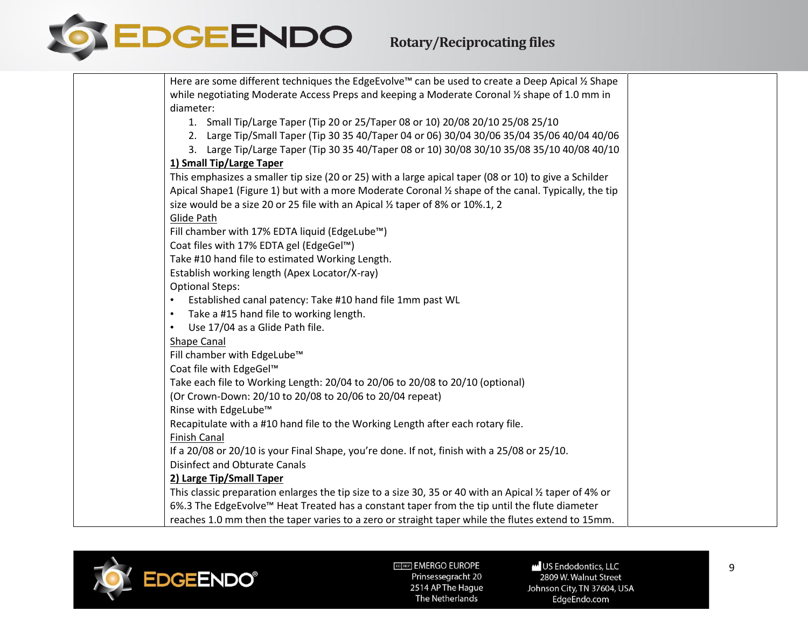

| Here are some different techniques the EdgeEvolve™ can be used to create a Deep Apical ½ Shape          |
|---------------------------------------------------------------------------------------------------------|
| while negotiating Moderate Access Preps and keeping a Moderate Coronal 1/2 shape of 1.0 mm in           |
| diameter:                                                                                               |
| 1. Small Tip/Large Taper (Tip 20 or 25/Taper 08 or 10) 20/08 20/10 25/08 25/10                          |
| 2. Large Tip/Small Taper (Tip 30 35 40/Taper 04 or 06) 30/04 30/06 35/04 35/06 40/04 40/06              |
| 3. Large Tip/Large Taper (Tip 30 35 40/Taper 08 or 10) 30/08 30/10 35/08 35/10 40/08 40/10              |
| 1) Small Tip/Large Taper                                                                                |
| This emphasizes a smaller tip size (20 or 25) with a large apical taper (08 or 10) to give a Schilder   |
| Apical Shape1 (Figure 1) but with a more Moderate Coronal 1/2 shape of the canal. Typically, the tip    |
| size would be a size 20 or 25 file with an Apical 1/2 taper of 8% or 10%.1, 2                           |
| Glide Path                                                                                              |
| Fill chamber with 17% EDTA liquid (EdgeLube™)                                                           |
| Coat files with 17% EDTA gel (EdgeGel™)                                                                 |
| Take #10 hand file to estimated Working Length.                                                         |
| Establish working length (Apex Locator/X-ray)                                                           |
| <b>Optional Steps:</b>                                                                                  |
| Established canal patency: Take #10 hand file 1mm past WL                                               |
| Take a #15 hand file to working length.<br>$\bullet$                                                    |
| Use 17/04 as a Glide Path file.<br>$\bullet$                                                            |
| Shape Canal                                                                                             |
| Fill chamber with EdgeLube™                                                                             |
| Coat file with EdgeGel™                                                                                 |
| Take each file to Working Length: 20/04 to 20/06 to 20/08 to 20/10 (optional)                           |
| (Or Crown-Down: 20/10 to 20/08 to 20/06 to 20/04 repeat)                                                |
| Rinse with EdgeLube™                                                                                    |
| Recapitulate with a #10 hand file to the Working Length after each rotary file.                         |
| <b>Finish Canal</b>                                                                                     |
| If a 20/08 or 20/10 is your Final Shape, you're done. If not, finish with a 25/08 or 25/10.             |
| <b>Disinfect and Obturate Canals</b>                                                                    |
| 2) Large Tip/Small Taper                                                                                |
| This classic preparation enlarges the tip size to a size 30, 35 or 40 with an Apical 1/2 taper of 4% or |
| 6%.3 The EdgeEvolve™ Heat Treated has a constant taper from the tip until the flute diameter            |
| reaches 1.0 mm then the taper varies to a zero or straight taper while the flutes extend to 15mm.       |



US Endodontics, LLC -<br>2809 W. Walnut Street Johnson City, TN 37604, USA EdgeEndo.com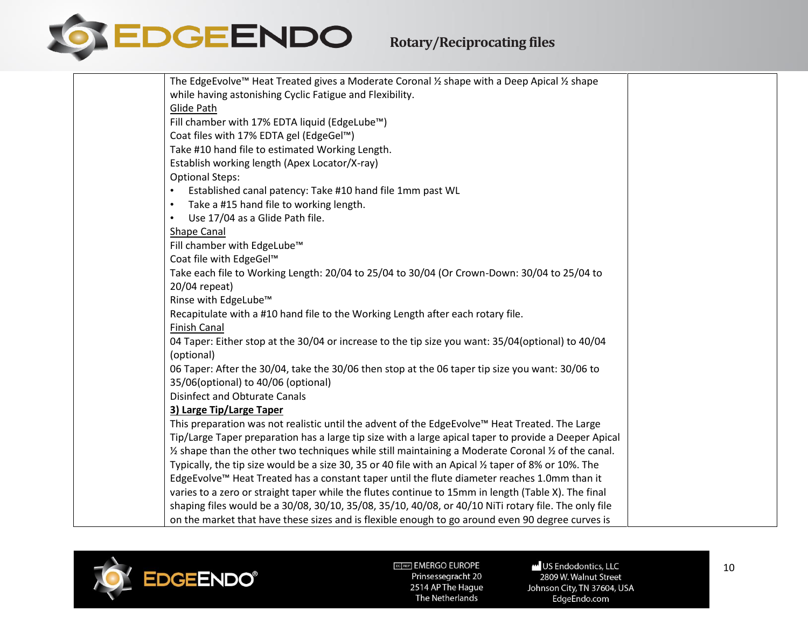

| The EdgeEvolve™ Heat Treated gives a Moderate Coronal ½ shape with a Deep Apical ½ shape                                 |  |
|--------------------------------------------------------------------------------------------------------------------------|--|
| while having astonishing Cyclic Fatigue and Flexibility.                                                                 |  |
| Glide Path                                                                                                               |  |
| Fill chamber with 17% EDTA liquid (EdgeLube™)                                                                            |  |
| Coat files with 17% EDTA gel (EdgeGel™)                                                                                  |  |
| Take #10 hand file to estimated Working Length.                                                                          |  |
| Establish working length (Apex Locator/X-ray)                                                                            |  |
| <b>Optional Steps:</b>                                                                                                   |  |
| Established canal patency: Take #10 hand file 1mm past WL                                                                |  |
| Take a #15 hand file to working length.<br>$\bullet$                                                                     |  |
| Use 17/04 as a Glide Path file.<br>$\bullet$                                                                             |  |
| <b>Shape Canal</b>                                                                                                       |  |
| Fill chamber with EdgeLube™                                                                                              |  |
| Coat file with EdgeGel™                                                                                                  |  |
| Take each file to Working Length: 20/04 to 25/04 to 30/04 (Or Crown-Down: 30/04 to 25/04 to                              |  |
| 20/04 repeat)                                                                                                            |  |
| Rinse with EdgeLube™                                                                                                     |  |
| Recapitulate with a #10 hand file to the Working Length after each rotary file.                                          |  |
| <b>Finish Canal</b>                                                                                                      |  |
| 04 Taper: Either stop at the 30/04 or increase to the tip size you want: 35/04(optional) to 40/04                        |  |
| (optional)                                                                                                               |  |
| 06 Taper: After the 30/04, take the 30/06 then stop at the 06 taper tip size you want: 30/06 to                          |  |
| 35/06(optional) to 40/06 (optional)                                                                                      |  |
| <b>Disinfect and Obturate Canals</b>                                                                                     |  |
| 3) Large Tip/Large Taper                                                                                                 |  |
| This preparation was not realistic until the advent of the EdgeEvolve™ Heat Treated. The Large                           |  |
| Tip/Large Taper preparation has a large tip size with a large apical taper to provide a Deeper Apical                    |  |
| $\frac{1}{2}$ shape than the other two techniques while still maintaining a Moderate Coronal $\frac{1}{2}$ of the canal. |  |
| Typically, the tip size would be a size 30, 35 or 40 file with an Apical 1/2 taper of 8% or 10%. The                     |  |
| EdgeEvolve™ Heat Treated has a constant taper until the flute diameter reaches 1.0mm than it                             |  |
| varies to a zero or straight taper while the flutes continue to 15mm in length (Table X). The final                      |  |
| shaping files would be a 30/08, 30/10, 35/08, 35/10, 40/08, or 40/10 NiTi rotary file. The only file                     |  |
| on the market that have these sizes and is flexible enough to go around even 90 degree curves is                         |  |



US Endodontics, LLC 2809 W. Walnut Street Johnson City, TN 37604, USA EdgeEndo.com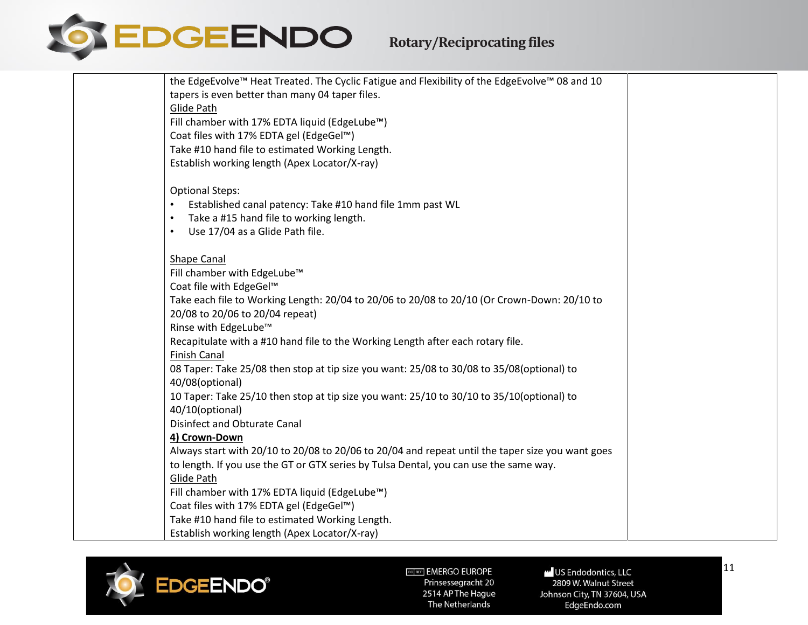

| the EdgeEvolve™ Heat Treated. The Cyclic Fatigue and Flexibility of the EdgeEvolve™ 08 and 10    |  |
|--------------------------------------------------------------------------------------------------|--|
| tapers is even better than many 04 taper files.                                                  |  |
| Glide Path                                                                                       |  |
| Fill chamber with 17% EDTA liquid (EdgeLube™)                                                    |  |
| Coat files with 17% EDTA gel (EdgeGel™)                                                          |  |
| Take #10 hand file to estimated Working Length.                                                  |  |
| Establish working length (Apex Locator/X-ray)                                                    |  |
|                                                                                                  |  |
| <b>Optional Steps:</b>                                                                           |  |
| Established canal patency: Take #10 hand file 1mm past WL                                        |  |
| Take a #15 hand file to working length.<br>$\bullet$                                             |  |
| Use 17/04 as a Glide Path file.<br>$\bullet$                                                     |  |
| <b>Shape Canal</b>                                                                               |  |
| Fill chamber with EdgeLube™                                                                      |  |
| Coat file with EdgeGel™                                                                          |  |
| Take each file to Working Length: 20/04 to 20/06 to 20/08 to 20/10 (Or Crown-Down: 20/10 to      |  |
| 20/08 to 20/06 to 20/04 repeat)                                                                  |  |
| Rinse with EdgeLube™                                                                             |  |
| Recapitulate with a #10 hand file to the Working Length after each rotary file.                  |  |
| <b>Finish Canal</b>                                                                              |  |
| 08 Taper: Take 25/08 then stop at tip size you want: 25/08 to 30/08 to 35/08(optional) to        |  |
| 40/08(optional)                                                                                  |  |
| 10 Taper: Take 25/10 then stop at tip size you want: 25/10 to 30/10 to 35/10(optional) to        |  |
| 40/10(optional)                                                                                  |  |
| Disinfect and Obturate Canal                                                                     |  |
| 4) Crown-Down                                                                                    |  |
| Always start with 20/10 to 20/08 to 20/06 to 20/04 and repeat until the taper size you want goes |  |
| to length. If you use the GT or GTX series by Tulsa Dental, you can use the same way.            |  |
| Glide Path                                                                                       |  |
| Fill chamber with 17% EDTA liquid (EdgeLube™)                                                    |  |
| Coat files with 17% EDTA gel (EdgeGel™)                                                          |  |
| Take #10 hand file to estimated Working Length.                                                  |  |
| Establish working length (Apex Locator/X-ray)                                                    |  |



US Endodontics, LLC 2809 W. Walnut Street Johnson City, TN 37604, USA EdgeEndo.com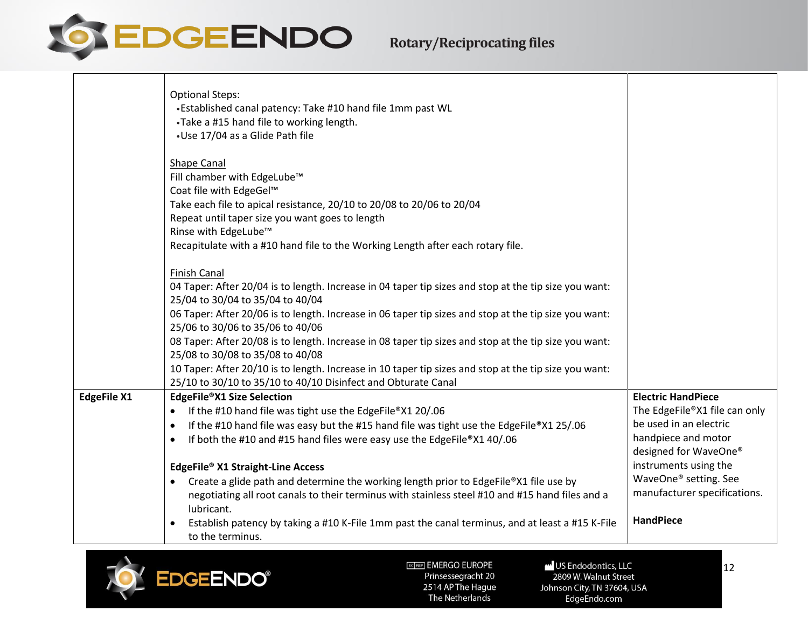

|                    | <b>Optional Steps:</b><br>•Established canal patency: Take #10 hand file 1mm past WL<br>•Take a #15 hand file to working length.<br>•Use 17/04 as a Glide Path file                                                                                                                                                                                                                                                                                                                                                                                                                                                                                            |                                                                                                                                                                                                                                            |
|--------------------|----------------------------------------------------------------------------------------------------------------------------------------------------------------------------------------------------------------------------------------------------------------------------------------------------------------------------------------------------------------------------------------------------------------------------------------------------------------------------------------------------------------------------------------------------------------------------------------------------------------------------------------------------------------|--------------------------------------------------------------------------------------------------------------------------------------------------------------------------------------------------------------------------------------------|
|                    | Shape Canal<br>Fill chamber with EdgeLube <sup>™</sup><br>Coat file with EdgeGel™<br>Take each file to apical resistance, 20/10 to 20/08 to 20/06 to 20/04<br>Repeat until taper size you want goes to length<br>Rinse with EdgeLube™<br>Recapitulate with a #10 hand file to the Working Length after each rotary file.                                                                                                                                                                                                                                                                                                                                       |                                                                                                                                                                                                                                            |
|                    | <b>Finish Canal</b><br>04 Taper: After 20/04 is to length. Increase in 04 taper tip sizes and stop at the tip size you want:<br>25/04 to 30/04 to 35/04 to 40/04<br>06 Taper: After 20/06 is to length. Increase in 06 taper tip sizes and stop at the tip size you want:<br>25/06 to 30/06 to 35/06 to 40/06<br>08 Taper: After 20/08 is to length. Increase in 08 taper tip sizes and stop at the tip size you want:<br>25/08 to 30/08 to 35/08 to 40/08<br>10 Taper: After 20/10 is to length. Increase in 10 taper tip sizes and stop at the tip size you want:<br>25/10 to 30/10 to 35/10 to 40/10 Disinfect and Obturate Canal                           |                                                                                                                                                                                                                                            |
| <b>EdgeFile X1</b> | EdgeFile®X1 Size Selection<br>If the #10 hand file was tight use the EdgeFile®X1 20/.06<br>If the #10 hand file was easy but the #15 hand file was tight use the EdgeFile®X1 25/.06<br>$\bullet$<br>If both the #10 and #15 hand files were easy use the EdgeFile®X1 40/.06<br>$\bullet$<br>EdgeFile® X1 Straight-Line Access<br>Create a glide path and determine the working length prior to EdgeFile®X1 file use by<br>negotiating all root canals to their terminus with stainless steel #10 and #15 hand files and a<br>lubricant.<br>Establish patency by taking a #10 K-File 1mm past the canal terminus, and at least a #15 K-File<br>to the terminus. | <b>Electric HandPiece</b><br>The EdgeFile®X1 file can only<br>be used in an electric<br>handpiece and motor<br>designed for WaveOne®<br>instruments using the<br>WaveOne® setting. See<br>manufacturer specifications.<br><b>HandPiece</b> |

<span id="page-11-0"></span>

US Endodontics, LLC 2809 W. Walnut Street Johnson City, TN 37604, USA EdgeEndo.com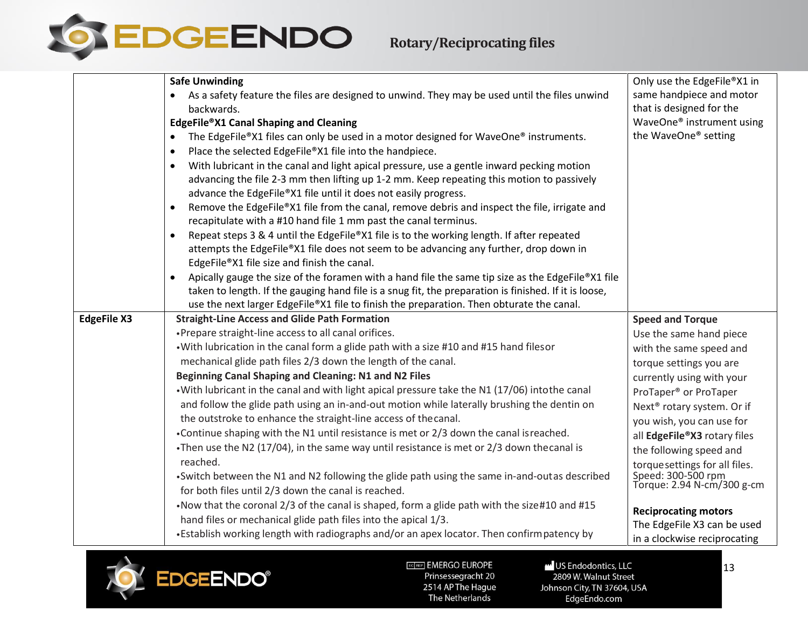

|                    | <b>Safe Unwinding</b>                                                                                          | Only use the EdgeFile®X1 in                                 |
|--------------------|----------------------------------------------------------------------------------------------------------------|-------------------------------------------------------------|
|                    | As a safety feature the files are designed to unwind. They may be used until the files unwind<br>$\bullet$     | same handpiece and motor                                    |
|                    | backwards.                                                                                                     | that is designed for the                                    |
|                    | EdgeFile®X1 Canal Shaping and Cleaning                                                                         | WaveOne® instrument using                                   |
|                    | The EdgeFile®X1 files can only be used in a motor designed for WaveOne® instruments.<br>$\bullet$              | the WaveOne® setting                                        |
|                    | Place the selected EdgeFile®X1 file into the handpiece.<br>$\bullet$                                           |                                                             |
|                    | With lubricant in the canal and light apical pressure, use a gentle inward pecking motion<br>$\bullet$         |                                                             |
|                    | advancing the file 2-3 mm then lifting up 1-2 mm. Keep repeating this motion to passively                      |                                                             |
|                    | advance the EdgeFile®X1 file until it does not easily progress.                                                |                                                             |
|                    | Remove the EdgeFile®X1 file from the canal, remove debris and inspect the file, irrigate and<br>$\bullet$      |                                                             |
|                    | recapitulate with a #10 hand file 1 mm past the canal terminus.                                                |                                                             |
|                    | Repeat steps 3 & 4 until the EdgeFile®X1 file is to the working length. If after repeated<br>$\bullet$         |                                                             |
|                    | attempts the EdgeFile®X1 file does not seem to be advancing any further, drop down in                          |                                                             |
|                    | EdgeFile®X1 file size and finish the canal.                                                                    |                                                             |
|                    | Apically gauge the size of the foramen with a hand file the same tip size as the EdgeFile®X1 file<br>$\bullet$ |                                                             |
|                    | taken to length. If the gauging hand file is a snug fit, the preparation is finished. If it is loose,          |                                                             |
|                    | use the next larger EdgeFile®X1 file to finish the preparation. Then obturate the canal.                       |                                                             |
|                    |                                                                                                                |                                                             |
| <b>EdgeFile X3</b> | <b>Straight-Line Access and Glide Path Formation</b>                                                           | <b>Speed and Torque</b>                                     |
|                    | • Prepare straight-line access to all canal orifices.                                                          | Use the same hand piece                                     |
|                    | . With lubrication in the canal form a glide path with a size #10 and #15 hand filesor                         | with the same speed and                                     |
|                    | mechanical glide path files 2/3 down the length of the canal.                                                  | torque settings you are                                     |
|                    | Beginning Canal Shaping and Cleaning: N1 and N2 Files                                                          | currently using with your                                   |
|                    | • With lubricant in the canal and with light apical pressure take the N1 (17/06) intothe canal                 | ProTaper <sup>®</sup> or ProTaper                           |
|                    | and follow the glide path using an in-and-out motion while laterally brushing the dentin on                    |                                                             |
|                    | the outstroke to enhance the straight-line access of the canal.                                                | Next <sup>®</sup> rotary system. Or if                      |
|                    | •Continue shaping with the N1 until resistance is met or 2/3 down the canal isreached.                         | you wish, you can use for<br>all EdgeFile®X3 rotary files   |
|                    | •Then use the N2 (17/04), in the same way until resistance is met or 2/3 down the canal is                     | the following speed and                                     |
|                    | reached.                                                                                                       |                                                             |
|                    | •Switch between the N1 and N2 following the glide path using the same in-and-outas described                   | torquesettings for all files.                               |
|                    | for both files until 2/3 down the canal is reached.                                                            | Speed: 300-500 rpm<br>Torque: 2.94 N-cm/300 g-cm            |
|                    | . Now that the coronal 2/3 of the canal is shaped, form a glide path with the size#10 and #15                  |                                                             |
|                    | hand files or mechanical glide path files into the apical 1/3.                                                 | <b>Reciprocating motors</b>                                 |
|                    | •Establish working length with radiographs and/or an apex locator. Then confirm patency by                     | The EdgeFile X3 can be used<br>in a clockwise reciprocating |

<span id="page-12-0"></span>

US Endodontics, LLC 2809 W. Walnut Street Johnson City, TN 37604, USA EdgeEndo.com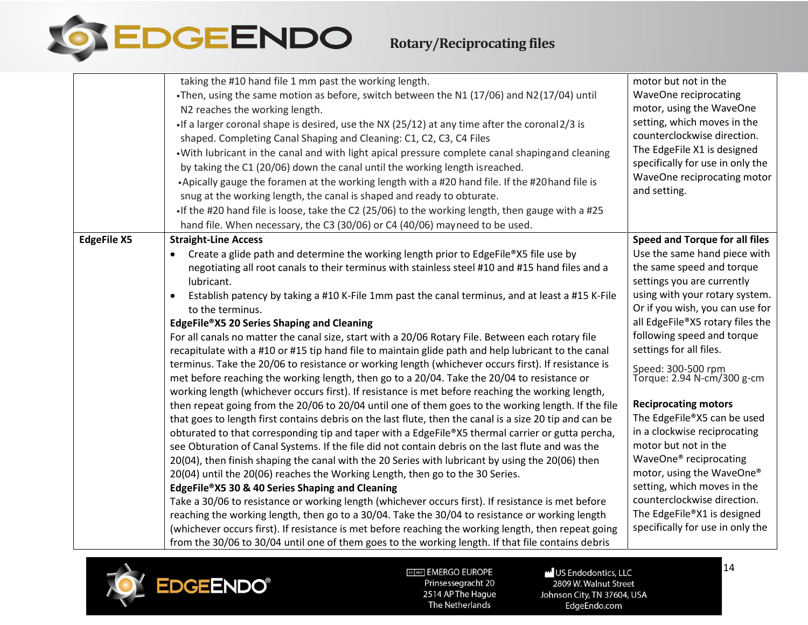

## **Rotary/Reciprocating files**

|                    | taking the #10 hand file 1 mm past the working length.                                                       | motor but not in the                             |
|--------------------|--------------------------------------------------------------------------------------------------------------|--------------------------------------------------|
|                    | •Then, using the same motion as before, switch between the N1 (17/06) and N2(17/04) until                    | WaveOne reciprocating                            |
|                    | N2 reaches the working length.                                                                               | motor, using the WaveOne                         |
|                    | •If a larger coronal shape is desired, use the NX (25/12) at any time after the coronal 2/3 is               | setting, which moves in the                      |
|                    | shaped. Completing Canal Shaping and Cleaning: C1, C2, C3, C4 Files                                          | counterclockwise direction.                      |
|                    | . With lubricant in the canal and with light apical pressure complete canal shapingand cleaning              | The EdgeFile X1 is designed                      |
|                    | by taking the C1 (20/06) down the canal until the working length is reached.                                 | specifically for use in only the                 |
|                    | •Apically gauge the foramen at the working length with a #20 hand file. If the #20 hand file is              | WaveOne reciprocating motor                      |
|                    | snug at the working length, the canal is shaped and ready to obturate.                                       | and setting.                                     |
|                    | If the #20 hand file is loose, take the C2 (25/06) to the working length, then gauge with a #25              |                                                  |
|                    | hand file. When necessary, the C3 (30/06) or C4 (40/06) mayneed to be used.                                  |                                                  |
| <b>EdgeFile X5</b> | <b>Straight-Line Access</b>                                                                                  | Speed and Torque for all files                   |
|                    | Create a glide path and determine the working length prior to EdgeFile®X5 file use by                        | Use the same hand piece with                     |
|                    | negotiating all root canals to their terminus with stainless steel #10 and #15 hand files and a              | the same speed and torque                        |
|                    | lubricant.                                                                                                   | settings you are currently                       |
|                    | Establish patency by taking a #10 K-File 1mm past the canal terminus, and at least a #15 K-File<br>$\bullet$ | using with your rotary system.                   |
|                    | to the terminus.                                                                                             | Or if you wish, you can use for                  |
|                    | EdgeFile®X5 20 Series Shaping and Cleaning                                                                   | all EdgeFile®X5 rotary files the                 |
|                    | For all canals no matter the canal size, start with a 20/06 Rotary File. Between each rotary file            | following speed and torque                       |
|                    | recapitulate with a #10 or #15 tip hand file to maintain glide path and help lubricant to the canal          | settings for all files.                          |
|                    | terminus. Take the 20/06 to resistance or working length (whichever occurs first). If resistance is          |                                                  |
|                    | met before reaching the working length, then go to a 20/04. Take the 20/04 to resistance or                  | Speed: 300-500 rpm<br>Torque: 2.94 N-cm/300 g-cm |
|                    | working length (whichever occurs first). If resistance is met before reaching the working length,            |                                                  |
|                    | then repeat going from the 20/06 to 20/04 until one of them goes to the working length. If the file          | <b>Reciprocating motors</b>                      |
|                    | that goes to length first contains debris on the last flute, then the canal is a size 20 tip and can be      | The EdgeFile®X5 can be used                      |
|                    | obturated to that corresponding tip and taper with a EdgeFile®X5 thermal carrier or gutta percha,            | in a clockwise reciprocating                     |
|                    | see Obturation of Canal Systems. If the file did not contain debris on the last flute and was the            | motor but not in the                             |
|                    | 20(04), then finish shaping the canal with the 20 Series with lubricant by using the 20(06) then             | WaveOne® reciprocating                           |
|                    | 20(04) until the 20(06) reaches the Working Length, then go to the 30 Series.                                | motor, using the WaveOne®                        |
|                    | EdgeFile®X5 30 & 40 Series Shaping and Cleaning                                                              | setting, which moves in the                      |
|                    | Take a 30/06 to resistance or working length (whichever occurs first). If resistance is met before           | counterclockwise direction.                      |
|                    | reaching the working length, then go to a 30/04. Take the 30/04 to resistance or working length              | The EdgeFile®X1 is designed                      |
|                    | (whichever occurs first). If resistance is met before reaching the working length, then repeat going         | specifically for use in only the                 |
|                    | from the 30/06 to 30/04 until one of them goes to the working length. If that file contains debris           |                                                  |

<span id="page-13-0"></span>

EC REP EMERGO EUROPE Prinsessegracht 20 2514 AP The Hague The Netherlands

US Endodontics, LLC 2809 W. Walnut Street Johnson City, TN 37604, USA EdgeEndo.com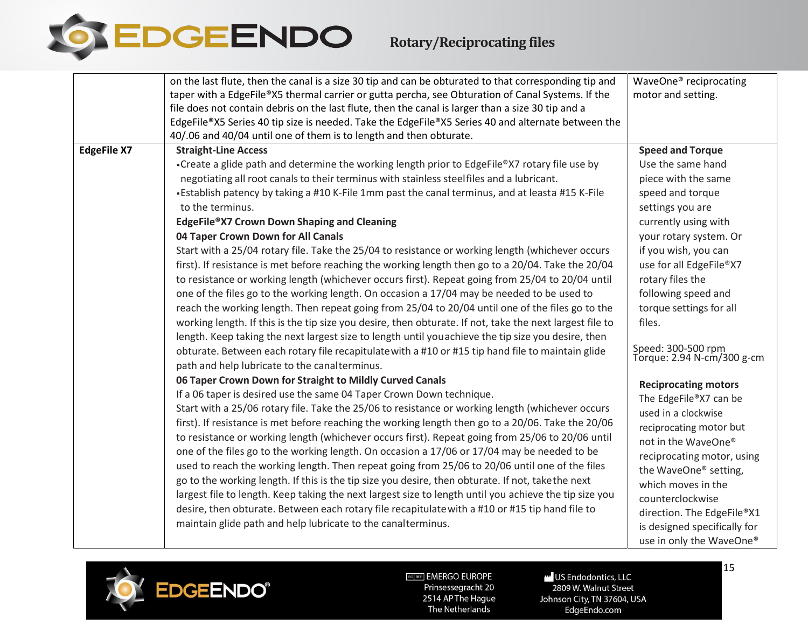

|                    | on the last flute, then the canal is a size 30 tip and can be obturated to that corresponding tip and                                              | WaveOne <sup>®</sup> reciprocating               |
|--------------------|----------------------------------------------------------------------------------------------------------------------------------------------------|--------------------------------------------------|
|                    | taper with a EdgeFile®X5 thermal carrier or gutta percha, see Obturation of Canal Systems. If the                                                  | motor and setting.                               |
|                    | file does not contain debris on the last flute, then the canal is larger than a size 30 tip and a                                                  |                                                  |
|                    | EdgeFile®X5 Series 40 tip size is needed. Take the EdgeFile®X5 Series 40 and alternate between the                                                 |                                                  |
|                    | 40/.06 and 40/04 until one of them is to length and then obturate.                                                                                 |                                                  |
| <b>EdgeFile X7</b> | <b>Straight-Line Access</b>                                                                                                                        | <b>Speed and Torque</b>                          |
|                    | •Create a glide path and determine the working length prior to EdgeFile®X7 rotary file use by                                                      | Use the same hand                                |
|                    | negotiating all root canals to their terminus with stainless steelfiles and a lubricant.                                                           | piece with the same                              |
|                    | •Establish patency by taking a #10 K-File 1mm past the canal terminus, and at leasta #15 K-File                                                    | speed and torque                                 |
|                    | to the terminus.                                                                                                                                   | settings you are                                 |
|                    | EdgeFile®X7 Crown Down Shaping and Cleaning                                                                                                        | currently using with                             |
|                    | 04 Taper Crown Down for All Canals                                                                                                                 | your rotary system. Or                           |
|                    | Start with a 25/04 rotary file. Take the 25/04 to resistance or working length (whichever occurs                                                   | if you wish, you can                             |
|                    | first). If resistance is met before reaching the working length then go to a 20/04. Take the 20/04                                                 | use for all EdgeFile®X7                          |
|                    | to resistance or working length (whichever occurs first). Repeat going from 25/04 to 20/04 until                                                   | rotary files the                                 |
|                    | one of the files go to the working length. On occasion a 17/04 may be needed to be used to                                                         | following speed and                              |
|                    | reach the working length. Then repeat going from 25/04 to 20/04 until one of the files go to the                                                   | torque settings for all                          |
|                    | working length. If this is the tip size you desire, then obturate. If not, take the next largest file to                                           | files.                                           |
|                    | length. Keep taking the next largest size to length until you achieve the tip size you desire, then                                                |                                                  |
|                    | obturate. Between each rotary file recapitulate with a #10 or #15 tip hand file to maintain glide<br>path and help lubricate to the canalterminus. | Speed: 300-500 rpm<br>Torque: 2.94 N-cm/300 g-cm |
|                    | 06 Taper Crown Down for Straight to Mildly Curved Canals                                                                                           | <b>Reciprocating motors</b>                      |
|                    | If a 06 taper is desired use the same 04 Taper Crown Down technique.                                                                               | The EdgeFile®X7 can be                           |
|                    | Start with a 25/06 rotary file. Take the 25/06 to resistance or working length (whichever occurs                                                   | used in a clockwise                              |
|                    | first). If resistance is met before reaching the working length then go to a 20/06. Take the 20/06                                                 | reciprocating motor but                          |
|                    | to resistance or working length (whichever occurs first). Repeat going from 25/06 to 20/06 until                                                   | not in the WaveOne®                              |
|                    | one of the files go to the working length. On occasion a 17/06 or 17/04 may be needed to be                                                        | reciprocating motor, using                       |
|                    | used to reach the working length. Then repeat going from 25/06 to 20/06 until one of the files                                                     | the WaveOne® setting,                            |
|                    | go to the working length. If this is the tip size you desire, then obturate. If not, takethe next                                                  | which moves in the                               |
|                    | largest file to length. Keep taking the next largest size to length until you achieve the tip size you                                             | counterclockwise                                 |
|                    | desire, then obturate. Between each rotary file recapitulate with a #10 or #15 tip hand file to                                                    | direction. The EdgeFile®X1                       |
|                    | maintain glide path and help lubricate to the canalterminus.                                                                                       | is designed specifically for                     |
|                    |                                                                                                                                                    | use in only the WaveOne®                         |
|                    |                                                                                                                                                    |                                                  |

<span id="page-14-0"></span>

US Endodontics, LLC 2809 W. Walnut Street Johnson City, TN 37604, USA EdgeEndo.com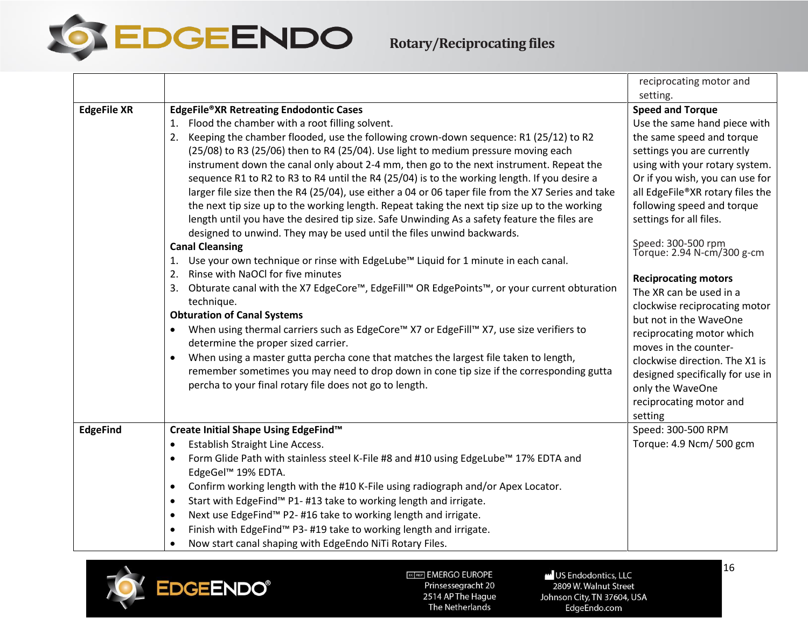EDGEENDO

## **Rotary/Reciprocating files**

<span id="page-15-0"></span>

|                    |                                                                                                    | reciprocating motor and                          |
|--------------------|----------------------------------------------------------------------------------------------------|--------------------------------------------------|
|                    |                                                                                                    | setting.                                         |
| <b>EdgeFile XR</b> | <b>EdgeFile®XR Retreating Endodontic Cases</b>                                                     | <b>Speed and Torque</b>                          |
|                    | 1. Flood the chamber with a root filling solvent.                                                  | Use the same hand piece with                     |
|                    | 2. Keeping the chamber flooded, use the following crown-down sequence: R1 (25/12) to R2            | the same speed and torque                        |
|                    | (25/08) to R3 (25/06) then to R4 (25/04). Use light to medium pressure moving each                 | settings you are currently                       |
|                    | instrument down the canal only about 2-4 mm, then go to the next instrument. Repeat the            | using with your rotary system.                   |
|                    | sequence R1 to R2 to R3 to R4 until the R4 (25/04) is to the working length. If you desire a       | Or if you wish, you can use for                  |
|                    | larger file size then the R4 (25/04), use either a 04 or 06 taper file from the X7 Series and take | all EdgeFile®XR rotary files the                 |
|                    | the next tip size up to the working length. Repeat taking the next tip size up to the working      | following speed and torque                       |
|                    | length until you have the desired tip size. Safe Unwinding As a safety feature the files are       | settings for all files.                          |
|                    | designed to unwind. They may be used until the files unwind backwards.                             |                                                  |
|                    | <b>Canal Cleansing</b>                                                                             | Speed: 300-500 rpm<br>Torque: 2.94 N-cm/300 g-cm |
|                    | Use your own technique or rinse with EdgeLube™ Liquid for 1 minute in each canal.<br>1.            |                                                  |
|                    | Rinse with NaOCI for five minutes<br>2.                                                            | <b>Reciprocating motors</b>                      |
|                    | Obturate canal with the X7 EdgeCore™, EdgeFill™ OR EdgePoints™, or your current obturation<br>3.   | The XR can be used in a                          |
|                    | technique.                                                                                         | clockwise reciprocating motor                    |
|                    | <b>Obturation of Canal Systems</b>                                                                 | but not in the WaveOne                           |
|                    | When using thermal carriers such as EdgeCore™ X7 or EdgeFill™ X7, use size verifiers to            | reciprocating motor which                        |
|                    | determine the proper sized carrier.                                                                | moves in the counter-                            |
|                    | When using a master gutta percha cone that matches the largest file taken to length,<br>$\bullet$  | clockwise direction. The X1 is                   |
|                    | remember sometimes you may need to drop down in cone tip size if the corresponding gutta           | designed specifically for use in                 |
|                    | percha to your final rotary file does not go to length.                                            | only the WaveOne                                 |
|                    |                                                                                                    | reciprocating motor and                          |
|                    |                                                                                                    | setting                                          |
| <b>EdgeFind</b>    | Create Initial Shape Using EdgeFind™                                                               | Speed: 300-500 RPM                               |
|                    | Establish Straight Line Access.<br>$\bullet$                                                       | Torque: 4.9 Ncm/ 500 gcm                         |
|                    | Form Glide Path with stainless steel K-File #8 and #10 using EdgeLube™ 17% EDTA and<br>$\bullet$   |                                                  |
|                    | EdgeGel™ 19% EDTA.                                                                                 |                                                  |
|                    | Confirm working length with the #10 K-File using radiograph and/or Apex Locator.<br>$\bullet$      |                                                  |
|                    | Start with EdgeFind™ P1-#13 take to working length and irrigate.<br>$\bullet$                      |                                                  |
|                    | Next use EdgeFind™ P2-#16 take to working length and irrigate.<br>$\bullet$                        |                                                  |
|                    | Finish with EdgeFind <sup>™</sup> P3-#19 take to working length and irrigate.<br>$\bullet$         |                                                  |
|                    | Now start canal shaping with EdgeEndo NiTi Rotary Files.<br>$\bullet$                              |                                                  |

<span id="page-15-1"></span>

ECTREP] EMERGO EUROPE -<br>Prinsessegracht 20 2514 AP The Hague The Netherlands

US Endodontics, LLC 2809 W. Walnut Street Johnson City, TN 37604, USA EdgeEndo.com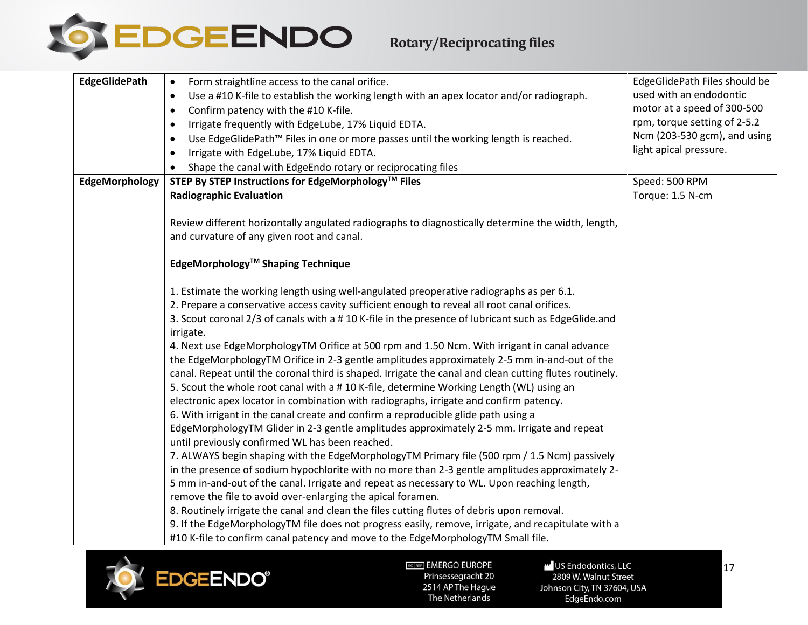

# **Rotary/Reciprocating files**

<span id="page-16-0"></span>

| <b>EdgeGlidePath</b> | Form straightline access to the canal orifice.<br>$\bullet$                                             | EdgeGlidePath Files should be |
|----------------------|---------------------------------------------------------------------------------------------------------|-------------------------------|
|                      | Use a #10 K-file to establish the working length with an apex locator and/or radiograph.<br>$\bullet$   | used with an endodontic       |
|                      | Confirm patency with the #10 K-file.<br>$\bullet$                                                       | motor at a speed of 300-500   |
|                      | Irrigate frequently with EdgeLube, 17% Liquid EDTA.<br>$\bullet$                                        | rpm, torque setting of 2-5.2  |
|                      | Use EdgeGlidePath™ Files in one or more passes until the working length is reached.<br>$\bullet$        | Ncm (203-530 gcm), and using  |
|                      | Irrigate with EdgeLube, 17% Liquid EDTA.<br>$\bullet$                                                   | light apical pressure.        |
|                      | Shape the canal with EdgeEndo rotary or reciprocating files                                             |                               |
| EdgeMorphology       | STEP By STEP Instructions for EdgeMorphology™ Files                                                     | Speed: 500 RPM                |
|                      | <b>Radiographic Evaluation</b>                                                                          | Torque: 1.5 N-cm              |
|                      |                                                                                                         |                               |
|                      | Review different horizontally angulated radiographs to diagnostically determine the width, length,      |                               |
|                      | and curvature of any given root and canal.                                                              |                               |
|                      |                                                                                                         |                               |
|                      | EdgeMorphology <sup>™</sup> Shaping Technique                                                           |                               |
|                      |                                                                                                         |                               |
|                      | 1. Estimate the working length using well-angulated preoperative radiographs as per 6.1.                |                               |
|                      | 2. Prepare a conservative access cavity sufficient enough to reveal all root canal orifices.            |                               |
|                      | 3. Scout coronal 2/3 of canals with a #10 K-file in the presence of lubricant such as EdgeGlide.and     |                               |
|                      | irrigate.                                                                                               |                               |
|                      | 4. Next use EdgeMorphologyTM Orifice at 500 rpm and 1.50 Ncm. With irrigant in canal advance            |                               |
|                      | the EdgeMorphologyTM Orifice in 2-3 gentle amplitudes approximately 2-5 mm in-and-out of the            |                               |
|                      | canal. Repeat until the coronal third is shaped. Irrigate the canal and clean cutting flutes routinely. |                               |
|                      | 5. Scout the whole root canal with a # 10 K-file, determine Working Length (WL) using an                |                               |
|                      | electronic apex locator in combination with radiographs, irrigate and confirm patency.                  |                               |
|                      | 6. With irrigant in the canal create and confirm a reproducible glide path using a                      |                               |
|                      | EdgeMorphologyTM Glider in 2-3 gentle amplitudes approximately 2-5 mm. Irrigate and repeat              |                               |
|                      | until previously confirmed WL has been reached.                                                         |                               |
|                      | 7. ALWAYS begin shaping with the EdgeMorphologyTM Primary file (500 rpm / 1.5 Ncm) passively            |                               |
|                      | in the presence of sodium hypochlorite with no more than 2-3 gentle amplitudes approximately 2-         |                               |
|                      | 5 mm in-and-out of the canal. Irrigate and repeat as necessary to WL. Upon reaching length,             |                               |
|                      | remove the file to avoid over-enlarging the apical foramen.                                             |                               |
|                      | 8. Routinely irrigate the canal and clean the files cutting flutes of debris upon removal.              |                               |
|                      | 9. If the EdgeMorphologyTM file does not progress easily, remove, irrigate, and recapitulate with a     |                               |
|                      | #10 K-file to confirm canal patency and move to the EdgeMorphologyTM Small file.                        |                               |

<span id="page-16-1"></span>

EGTREP] EMERGO EUROPE Prinsessegracht 20 2514 AP The Hague The Netherlands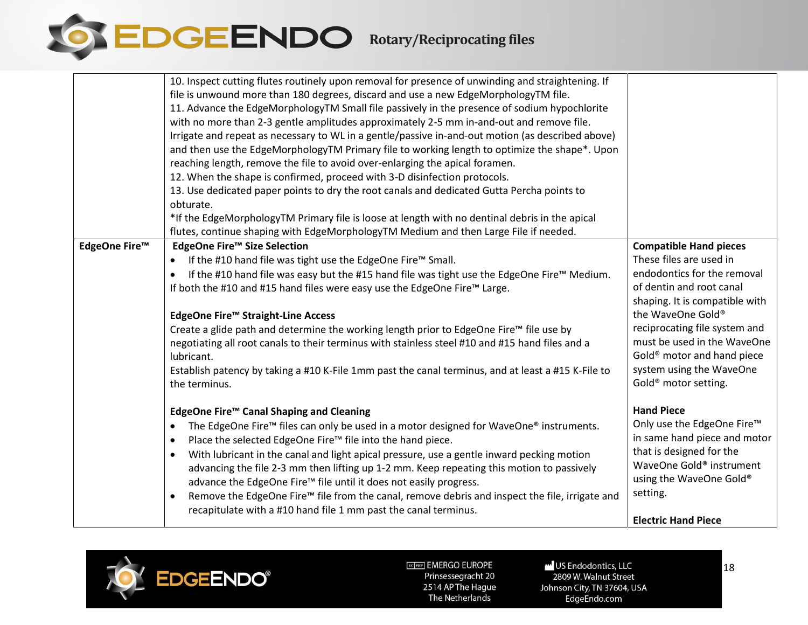

|               | 10. Inspect cutting flutes routinely upon removal for presence of unwinding and straightening. If<br>file is unwound more than 180 degrees, discard and use a new EdgeMorphologyTM file.<br>11. Advance the EdgeMorphologyTM Small file passively in the presence of sodium hypochlorite<br>with no more than 2-3 gentle amplitudes approximately 2-5 mm in-and-out and remove file.<br>Irrigate and repeat as necessary to WL in a gentle/passive in-and-out motion (as described above)<br>and then use the EdgeMorphologyTM Primary file to working length to optimize the shape*. Upon<br>reaching length, remove the file to avoid over-enlarging the apical foramen.<br>12. When the shape is confirmed, proceed with 3-D disinfection protocols. |                                                                                                                                                                                                                                                                                                                                                      |
|---------------|---------------------------------------------------------------------------------------------------------------------------------------------------------------------------------------------------------------------------------------------------------------------------------------------------------------------------------------------------------------------------------------------------------------------------------------------------------------------------------------------------------------------------------------------------------------------------------------------------------------------------------------------------------------------------------------------------------------------------------------------------------|------------------------------------------------------------------------------------------------------------------------------------------------------------------------------------------------------------------------------------------------------------------------------------------------------------------------------------------------------|
|               | 13. Use dedicated paper points to dry the root canals and dedicated Gutta Percha points to<br>obturate.                                                                                                                                                                                                                                                                                                                                                                                                                                                                                                                                                                                                                                                 |                                                                                                                                                                                                                                                                                                                                                      |
|               | *If the EdgeMorphologyTM Primary file is loose at length with no dentinal debris in the apical<br>flutes, continue shaping with EdgeMorphologyTM Medium and then Large File if needed.                                                                                                                                                                                                                                                                                                                                                                                                                                                                                                                                                                  |                                                                                                                                                                                                                                                                                                                                                      |
| EdgeOne Fire™ | EdgeOne Fire™ Size Selection<br>If the #10 hand file was tight use the EdgeOne Fire™ Small.<br>If the #10 hand file was easy but the #15 hand file was tight use the EdgeOne Fire™ Medium.<br>$\bullet$<br>If both the #10 and #15 hand files were easy use the EdgeOne Fire™ Large.<br>EdgeOne Fire™ Straight-Line Access<br>Create a glide path and determine the working length prior to EdgeOne Fire™ file use by<br>negotiating all root canals to their terminus with stainless steel #10 and #15 hand files and a<br>lubricant.<br>Establish patency by taking a #10 K-File 1mm past the canal terminus, and at least a #15 K-File to<br>the terminus.                                                                                           | <b>Compatible Hand pieces</b><br>These files are used in<br>endodontics for the removal<br>of dentin and root canal<br>shaping. It is compatible with<br>the WaveOne Gold®<br>reciprocating file system and<br>must be used in the WaveOne<br>Gold <sup>®</sup> motor and hand piece<br>system using the WaveOne<br>Gold <sup>®</sup> motor setting. |
|               | EdgeOne Fire™ Canal Shaping and Cleaning<br>The EdgeOne Fire <sup>™</sup> files can only be used in a motor designed for WaveOne® instruments.<br>$\bullet$<br>Place the selected EdgeOne Fire™ file into the hand piece.<br>$\bullet$<br>With lubricant in the canal and light apical pressure, use a gentle inward pecking motion<br>$\bullet$<br>advancing the file 2-3 mm then lifting up 1-2 mm. Keep repeating this motion to passively<br>advance the EdgeOne Fire™ file until it does not easily progress.<br>Remove the EdgeOne Fire™ file from the canal, remove debris and inspect the file, irrigate and<br>$\bullet$<br>recapitulate with a #10 hand file 1 mm past the canal terminus.                                                    | <b>Hand Piece</b><br>Only use the EdgeOne Fire™<br>in same hand piece and motor<br>that is designed for the<br>WaveOne Gold® instrument<br>using the WaveOne Gold®<br>setting.                                                                                                                                                                       |
|               |                                                                                                                                                                                                                                                                                                                                                                                                                                                                                                                                                                                                                                                                                                                                                         | <b>Electric Hand Piece</b>                                                                                                                                                                                                                                                                                                                           |

<span id="page-17-0"></span>

US Endodontics, LLC 2809 W. Walnut Street Johnson City, TN 37604, USA EdgeEndo.com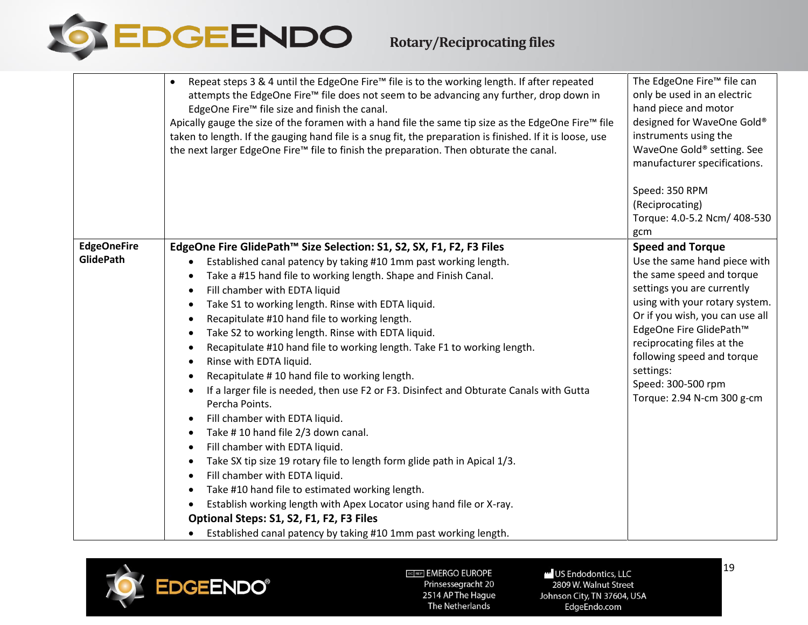

|                                        | attempts the EdgeOne Fire™ file does not seem to be advancing any further, drop down in<br>EdgeOne Fire™ file size and finish the canal.<br>Apically gauge the size of the foramen with a hand file the same tip size as the EdgeOne Fire™ file<br>taken to length. If the gauging hand file is a snug fit, the preparation is finished. If it is loose, use<br>the next larger EdgeOne Fire™ file to finish the preparation. Then obturate the canal.                                                                                                                                                                                                                                                                                                                                                                                                                                                                                                                                                                                                                                                                                                                                                                                                                                                                                                                         | only be used in an electric<br>hand piece and motor<br>designed for WaveOne Gold®<br>instruments using the<br>WaveOne Gold® setting. See<br>manufacturer specifications.<br>Speed: 350 RPM<br>(Reciprocating)<br>Torque: 4.0-5.2 Ncm/ 408-530<br>gcm                                                                                            |
|----------------------------------------|--------------------------------------------------------------------------------------------------------------------------------------------------------------------------------------------------------------------------------------------------------------------------------------------------------------------------------------------------------------------------------------------------------------------------------------------------------------------------------------------------------------------------------------------------------------------------------------------------------------------------------------------------------------------------------------------------------------------------------------------------------------------------------------------------------------------------------------------------------------------------------------------------------------------------------------------------------------------------------------------------------------------------------------------------------------------------------------------------------------------------------------------------------------------------------------------------------------------------------------------------------------------------------------------------------------------------------------------------------------------------------|-------------------------------------------------------------------------------------------------------------------------------------------------------------------------------------------------------------------------------------------------------------------------------------------------------------------------------------------------|
| <b>EdgeOneFire</b><br><b>GlidePath</b> | EdgeOne Fire GlidePath™ Size Selection: S1, S2, SX, F1, F2, F3 Files<br>Established canal patency by taking #10 1mm past working length.<br>$\bullet$<br>Take a #15 hand file to working length. Shape and Finish Canal.<br>$\bullet$<br>Fill chamber with EDTA liquid<br>$\bullet$<br>Take S1 to working length. Rinse with EDTA liquid.<br>$\bullet$<br>Recapitulate #10 hand file to working length.<br>$\bullet$<br>Take S2 to working length. Rinse with EDTA liquid.<br>$\bullet$<br>Recapitulate #10 hand file to working length. Take F1 to working length.<br>$\bullet$<br>Rinse with EDTA liquid.<br>$\bullet$<br>Recapitulate #10 hand file to working length.<br>$\bullet$<br>If a larger file is needed, then use F2 or F3. Disinfect and Obturate Canals with Gutta<br>$\bullet$<br>Percha Points.<br>Fill chamber with EDTA liquid.<br>$\bullet$<br>Take #10 hand file 2/3 down canal.<br>$\bullet$<br>Fill chamber with EDTA liquid.<br>$\bullet$<br>Take SX tip size 19 rotary file to length form glide path in Apical 1/3.<br>$\bullet$<br>Fill chamber with EDTA liquid.<br>$\bullet$<br>Take #10 hand file to estimated working length.<br>$\bullet$<br>Establish working length with Apex Locator using hand file or X-ray.<br>$\bullet$<br>Optional Steps: S1, S2, F1, F2, F3 Files<br>Established canal patency by taking #10 1mm past working length. | <b>Speed and Torque</b><br>Use the same hand piece with<br>the same speed and torque<br>settings you are currently<br>using with your rotary system.<br>Or if you wish, you can use all<br>EdgeOne Fire GlidePath™<br>reciprocating files at the<br>following speed and torque<br>settings:<br>Speed: 300-500 rpm<br>Torque: 2.94 N-cm 300 g-cm |

<span id="page-18-0"></span>

US Endodontics, LLC 2809 W. Walnut Street Johnson City, TN 37604, USA EdgeEndo.com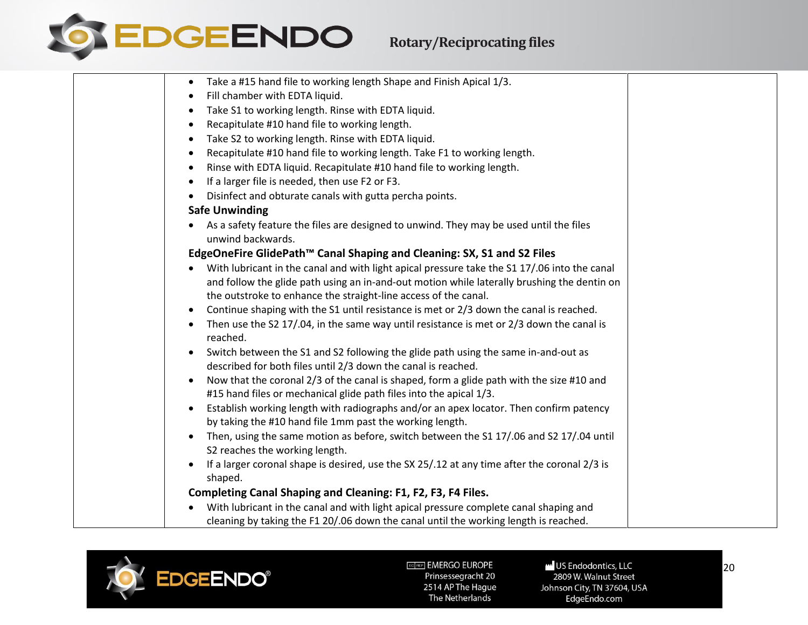

| Take a #15 hand file to working length Shape and Finish Apical 1/3.<br>$\bullet$                                          |
|---------------------------------------------------------------------------------------------------------------------------|
| Fill chamber with EDTA liquid.<br>٠                                                                                       |
| Take S1 to working length. Rinse with EDTA liquid.<br>٠                                                                   |
| Recapitulate #10 hand file to working length.<br>$\bullet$                                                                |
| Take S2 to working length. Rinse with EDTA liquid.<br>$\bullet$                                                           |
| Recapitulate #10 hand file to working length. Take F1 to working length.<br>$\bullet$                                     |
| Rinse with EDTA liquid. Recapitulate #10 hand file to working length.<br>$\bullet$                                        |
| If a larger file is needed, then use F2 or F3.<br>$\bullet$                                                               |
| Disinfect and obturate canals with gutta percha points.<br>$\bullet$                                                      |
| <b>Safe Unwinding</b>                                                                                                     |
| As a safety feature the files are designed to unwind. They may be used until the files<br>$\bullet$<br>unwind backwards.  |
| EdgeOneFire GlidePath™ Canal Shaping and Cleaning: SX, S1 and S2 Files                                                    |
| With lubricant in the canal and with light apical pressure take the S1 17/.06 into the canal                              |
| and follow the glide path using an in-and-out motion while laterally brushing the dentin on                               |
| the outstroke to enhance the straight-line access of the canal.                                                           |
| Continue shaping with the S1 until resistance is met or 2/3 down the canal is reached.<br>$\bullet$                       |
| Then use the S2 17/.04, in the same way until resistance is met or 2/3 down the canal is<br>$\bullet$<br>reached.         |
| Switch between the S1 and S2 following the glide path using the same in-and-out as<br>$\bullet$                           |
| described for both files until 2/3 down the canal is reached.                                                             |
| Now that the coronal 2/3 of the canal is shaped, form a glide path with the size #10 and<br>$\bullet$                     |
| #15 hand files or mechanical glide path files into the apical 1/3.                                                        |
| Establish working length with radiographs and/or an apex locator. Then confirm patency<br>$\bullet$                       |
| by taking the #10 hand file 1mm past the working length.                                                                  |
| Then, using the same motion as before, switch between the S1 17/.06 and S2 17/.04 until<br>S2 reaches the working length. |
| If a larger coronal shape is desired, use the SX 25/.12 at any time after the coronal 2/3 is<br>$\bullet$                 |
| shaped.                                                                                                                   |
| Completing Canal Shaping and Cleaning: F1, F2, F3, F4 Files.                                                              |
| With lubricant in the canal and with light apical pressure complete canal shaping and                                     |
| cleaning by taking the F1 20/.06 down the canal until the working length is reached.                                      |



US Endodontics, LLC 2809 W. Walnut Street Johnson City, TN 37604, USA EdgeEndo.com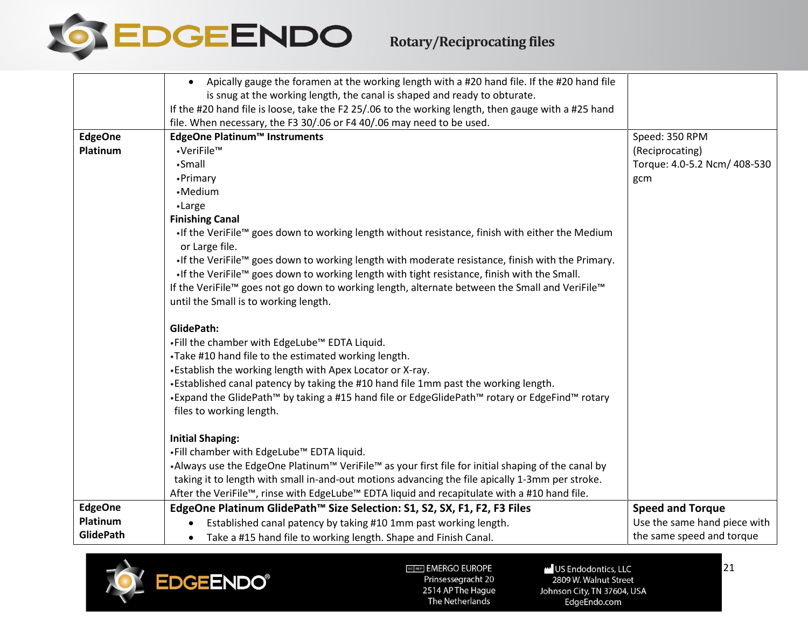

|                  | Apically gauge the foramen at the working length with a #20 hand file. If the #20 hand file<br>$\bullet$           |                              |
|------------------|--------------------------------------------------------------------------------------------------------------------|------------------------------|
|                  | is snug at the working length, the canal is shaped and ready to obturate.                                          |                              |
|                  | If the #20 hand file is loose, take the F2 25/.06 to the working length, then gauge with a #25 hand                |                              |
|                  | file. When necessary, the F3 30/.06 or F4 40/.06 may need to be used.                                              |                              |
| <b>EdgeOne</b>   | EdgeOne Platinum™ Instruments                                                                                      | Speed: 350 RPM               |
| Platinum         | •VeriFile™                                                                                                         | (Reciprocating)              |
|                  | •Small                                                                                                             | Torque: 4.0-5.2 Ncm/ 408-530 |
|                  | •Primary                                                                                                           | gcm                          |
|                  | •Medium                                                                                                            |                              |
|                  | •Large                                                                                                             |                              |
|                  | <b>Finishing Canal</b>                                                                                             |                              |
|                  | . If the VeriFile™ goes down to working length without resistance, finish with either the Medium<br>or Large file. |                              |
|                  | . If the VeriFile™ goes down to working length with moderate resistance, finish with the Primary.                  |                              |
|                  | . If the VeriFile™ goes down to working length with tight resistance, finish with the Small.                       |                              |
|                  | If the VeriFile™ goes not go down to working length, alternate between the Small and VeriFile™                     |                              |
|                  | until the Small is to working length.                                                                              |                              |
|                  |                                                                                                                    |                              |
|                  | GlidePath:                                                                                                         |                              |
|                  | .Fill the chamber with EdgeLube <sup>™</sup> EDTA Liquid.                                                          |                              |
|                  | .Take #10 hand file to the estimated working length.                                                               |                              |
|                  | . Establish the working length with Apex Locator or X-ray.                                                         |                              |
|                  | •Established canal patency by taking the #10 hand file 1mm past the working length.                                |                              |
|                  | •Expand the GlidePath <sup>™</sup> by taking a #15 hand file or EdgeGlidePath™ rotary or EdgeFind™ rotary          |                              |
|                  | files to working length.                                                                                           |                              |
|                  |                                                                                                                    |                              |
|                  | <b>Initial Shaping:</b>                                                                                            |                              |
|                  | .Fill chamber with EdgeLube <sup>™</sup> EDTA liquid.                                                              |                              |
|                  | •Always use the EdgeOne Platinum™ VeriFile™ as your first file for initial shaping of the canal by                 |                              |
|                  | taking it to length with small in-and-out motions advancing the file apically 1-3mm per stroke.                    |                              |
| <b>EdgeOne</b>   | After the VeriFile™, rinse with EdgeLube™ EDTA liquid and recapitulate with a #10 hand file.                       |                              |
| Platinum         | EdgeOne Platinum GlidePath™ Size Selection: S1, S2, SX, F1, F2, F3 Files                                           | <b>Speed and Torque</b>      |
| <b>GlidePath</b> | Established canal patency by taking #10 1mm past working length.                                                   | Use the same hand piece with |
|                  | Take a #15 hand file to working length. Shape and Finish Canal.<br>$\bullet$                                       | the same speed and torque    |

<span id="page-20-1"></span><span id="page-20-0"></span>

US Endodontics, LLC 2809 W. Walnut Street Johnson City, TN 37604, USA EdgeEndo.com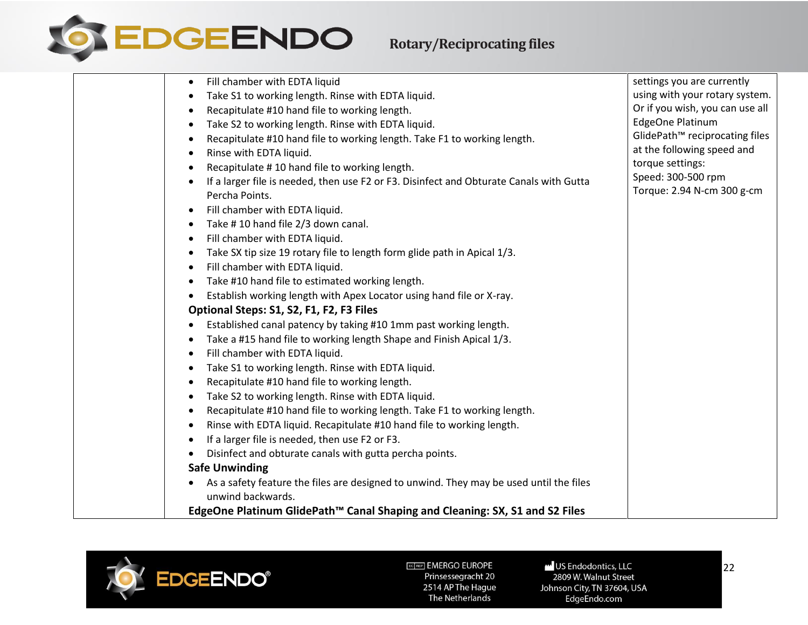

| Fill chamber with EDTA liquid<br>$\bullet$                                                                  | settings you are currently                       |
|-------------------------------------------------------------------------------------------------------------|--------------------------------------------------|
| Take S1 to working length. Rinse with EDTA liquid.                                                          | using with your rotary system.                   |
| Recapitulate #10 hand file to working length.                                                               | Or if you wish, you can use all                  |
| Take S2 to working length. Rinse with EDTA liquid.                                                          | <b>EdgeOne Platinum</b>                          |
| Recapitulate #10 hand file to working length. Take F1 to working length.                                    | GlidePath <sup>™</sup> reciprocating files       |
| Rinse with EDTA liquid.                                                                                     | at the following speed and                       |
| Recapitulate #10 hand file to working length.                                                               | torque settings:                                 |
| If a larger file is needed, then use F2 or F3. Disinfect and Obturate Canals with Gutta                     | Speed: 300-500 rpm<br>Torque: 2.94 N-cm 300 g-cm |
| Percha Points.                                                                                              |                                                  |
| Fill chamber with EDTA liquid.                                                                              |                                                  |
| Take #10 hand file 2/3 down canal.<br>$\bullet$                                                             |                                                  |
| Fill chamber with EDTA liquid.                                                                              |                                                  |
| Take SX tip size 19 rotary file to length form glide path in Apical 1/3.                                    |                                                  |
| Fill chamber with EDTA liquid.                                                                              |                                                  |
| Take #10 hand file to estimated working length.                                                             |                                                  |
| Establish working length with Apex Locator using hand file or X-ray.                                        |                                                  |
| Optional Steps: S1, S2, F1, F2, F3 Files                                                                    |                                                  |
| Established canal patency by taking #10 1mm past working length.                                            |                                                  |
| Take a #15 hand file to working length Shape and Finish Apical 1/3.                                         |                                                  |
| Fill chamber with EDTA liquid.                                                                              |                                                  |
| Take S1 to working length. Rinse with EDTA liquid.                                                          |                                                  |
| Recapitulate #10 hand file to working length.                                                               |                                                  |
| Take S2 to working length. Rinse with EDTA liquid.                                                          |                                                  |
| Recapitulate #10 hand file to working length. Take F1 to working length.<br>$\bullet$                       |                                                  |
| Rinse with EDTA liquid. Recapitulate #10 hand file to working length.                                       |                                                  |
| If a larger file is needed, then use F2 or F3.                                                              |                                                  |
| Disinfect and obturate canals with gutta percha points.                                                     |                                                  |
| <b>Safe Unwinding</b>                                                                                       |                                                  |
| As a safety feature the files are designed to unwind. They may be used until the files<br>unwind backwards. |                                                  |
| EdgeOne Platinum GlidePath <sup>™</sup> Canal Shaping and Cleaning: SX, S1 and S2 Files                     |                                                  |



US Endodontics, LLC 2809 W. Walnut Street Johnson City, TN 37604, USA EdgeEndo.com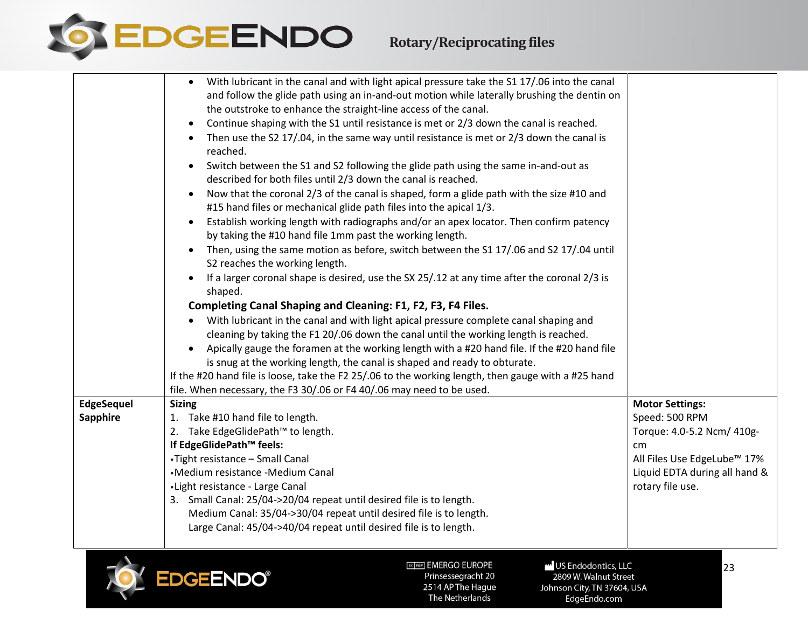

<span id="page-22-0"></span>

|                   | With lubricant in the canal and with light apical pressure take the S1 17/.06 into the canal<br>$\bullet$                                                                   |                               |
|-------------------|-----------------------------------------------------------------------------------------------------------------------------------------------------------------------------|-------------------------------|
|                   | and follow the glide path using an in-and-out motion while laterally brushing the dentin on                                                                                 |                               |
|                   | the outstroke to enhance the straight-line access of the canal.                                                                                                             |                               |
|                   | Continue shaping with the S1 until resistance is met or 2/3 down the canal is reached.<br>$\bullet$                                                                         |                               |
|                   | Then use the S2 17/.04, in the same way until resistance is met or 2/3 down the canal is<br>reached.                                                                        |                               |
|                   | Switch between the S1 and S2 following the glide path using the same in-and-out as<br>$\bullet$                                                                             |                               |
|                   | described for both files until 2/3 down the canal is reached.                                                                                                               |                               |
|                   | Now that the coronal 2/3 of the canal is shaped, form a glide path with the size #10 and<br>$\bullet$<br>#15 hand files or mechanical glide path files into the apical 1/3. |                               |
|                   | Establish working length with radiographs and/or an apex locator. Then confirm patency<br>$\bullet$<br>by taking the #10 hand file 1mm past the working length.             |                               |
|                   | Then, using the same motion as before, switch between the S1 17/.06 and S2 17/.04 until<br>S2 reaches the working length.                                                   |                               |
|                   | If a larger coronal shape is desired, use the SX 25/.12 at any time after the coronal 2/3 is<br>shaped.                                                                     |                               |
|                   | Completing Canal Shaping and Cleaning: F1, F2, F3, F4 Files.                                                                                                                |                               |
|                   | With lubricant in the canal and with light apical pressure complete canal shaping and                                                                                       |                               |
|                   | cleaning by taking the F1 20/.06 down the canal until the working length is reached.                                                                                        |                               |
|                   | Apically gauge the foramen at the working length with a #20 hand file. If the #20 hand file                                                                                 |                               |
|                   | is snug at the working length, the canal is shaped and ready to obturate.                                                                                                   |                               |
|                   | If the #20 hand file is loose, take the F2 25/.06 to the working length, then gauge with a #25 hand                                                                         |                               |
|                   | file. When necessary, the F3 30/.06 or F4 40/.06 may need to be used.                                                                                                       |                               |
| <b>EdgeSequel</b> | <b>Sizing</b>                                                                                                                                                               | <b>Motor Settings:</b>        |
| Sapphire          | 1. Take #10 hand file to length.                                                                                                                                            | Speed: 500 RPM                |
|                   | 2. Take EdgeGlidePath™ to length.                                                                                                                                           | Torque: 4.0-5.2 Ncm/ 410g-    |
|                   | If EdgeGlidePath™ feels:                                                                                                                                                    | cm                            |
|                   | •Tight resistance - Small Canal                                                                                                                                             | All Files Use EdgeLube™ 17%   |
|                   | •Medium resistance -Medium Canal                                                                                                                                            | Liquid EDTA during all hand & |
|                   | • Light resistance - Large Canal                                                                                                                                            | rotary file use.              |
|                   | 3. Small Canal: 25/04->20/04 repeat until desired file is to length.                                                                                                        |                               |
|                   | Medium Canal: 35/04->30/04 repeat until desired file is to length.                                                                                                          |                               |
|                   | Large Canal: 45/04->40/04 repeat until desired file is to length.                                                                                                           |                               |
|                   |                                                                                                                                                                             |                               |
|                   |                                                                                                                                                                             |                               |
|                   | <b>EGREP EMERGO EUROPE</b><br>US Endodontics, LLC<br><b>EDGEENDO®</b><br>Prinsessegracht 20<br>2809 W. Walnut Street                                                        | 23                            |
|                   | 2514 AP The Hague<br>Johnson City, TN 37604, USA                                                                                                                            |                               |
|                   | The Netherlands<br>EdgeEndo.com                                                                                                                                             |                               |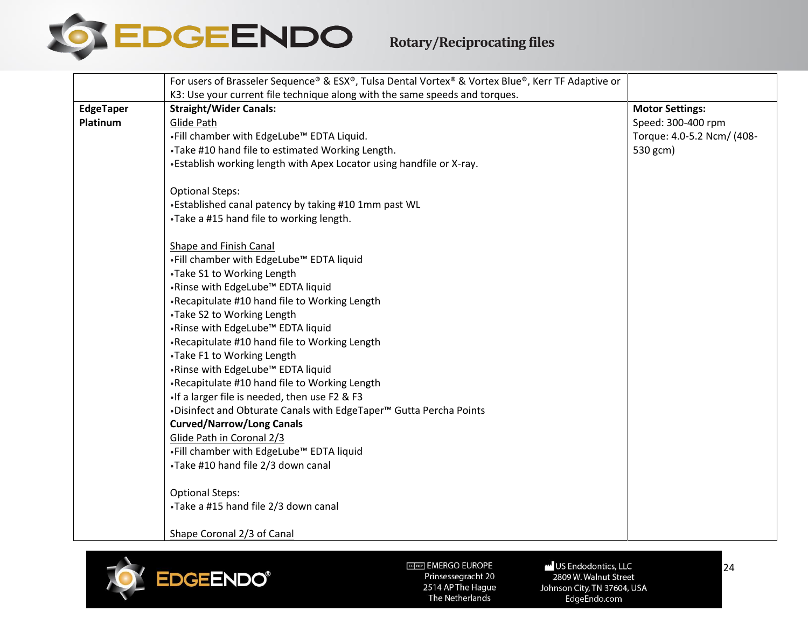

<span id="page-23-0"></span>

|                  | For users of Brasseler Sequence® & ESX®, Tulsa Dental Vortex® & Vortex Blue®, Kerr TF Adaptive or |                            |
|------------------|---------------------------------------------------------------------------------------------------|----------------------------|
|                  | K3: Use your current file technique along with the same speeds and torques.                       |                            |
| <b>EdgeTaper</b> | <b>Straight/Wider Canals:</b>                                                                     | <b>Motor Settings:</b>     |
| Platinum         | Glide Path                                                                                        | Speed: 300-400 rpm         |
|                  | .Fill chamber with EdgeLube <sup>™</sup> EDTA Liquid.                                             | Torque: 4.0-5.2 Ncm/ (408- |
|                  | .Take #10 hand file to estimated Working Length.                                                  | 530 gcm)                   |
|                  | •Establish working length with Apex Locator using handfile or X-ray.                              |                            |
|                  |                                                                                                   |                            |
|                  | <b>Optional Steps:</b>                                                                            |                            |
|                  | •Established canal patency by taking #10 1mm past WL                                              |                            |
|                  | .Take a #15 hand file to working length.                                                          |                            |
|                  |                                                                                                   |                            |
|                  | Shape and Finish Canal<br>.Fill chamber with EdgeLube™ EDTA liquid                                |                            |
|                  | •Take S1 to Working Length                                                                        |                            |
|                  | .Rinse with EdgeLube™ EDTA liquid                                                                 |                            |
|                  | •Recapitulate #10 hand file to Working Length                                                     |                            |
|                  | •Take S2 to Working Length                                                                        |                            |
|                  | .Rinse with EdgeLube™ EDTA liquid                                                                 |                            |
|                  | •Recapitulate #10 hand file to Working Length                                                     |                            |
|                  | •Take F1 to Working Length                                                                        |                            |
|                  | .Rinse with EdgeLube™ EDTA liquid                                                                 |                            |
|                  | •Recapitulate #10 hand file to Working Length                                                     |                            |
|                  | • If a larger file is needed, then use F2 & F3                                                    |                            |
|                  | . Disinfect and Obturate Canals with EdgeTaper <sup>™</sup> Gutta Percha Points                   |                            |
|                  | <b>Curved/Narrow/Long Canals</b>                                                                  |                            |
|                  | Glide Path in Coronal 2/3                                                                         |                            |
|                  | .Fill chamber with EdgeLube™ EDTA liquid                                                          |                            |
|                  | •Take #10 hand file 2/3 down canal                                                                |                            |
|                  | <b>Optional Steps:</b>                                                                            |                            |
|                  | •Take a #15 hand file 2/3 down canal                                                              |                            |
|                  |                                                                                                   |                            |
|                  | Shape Coronal 2/3 of Canal                                                                        |                            |



ECTREP] EMERGO EUROPE Prinsessegracht 20 2514 AP The Hague

The Netherlands

US Endodontics, LLC 2809 W. Walnut Street Johnson City, TN 37604, USA EdgeEndo.com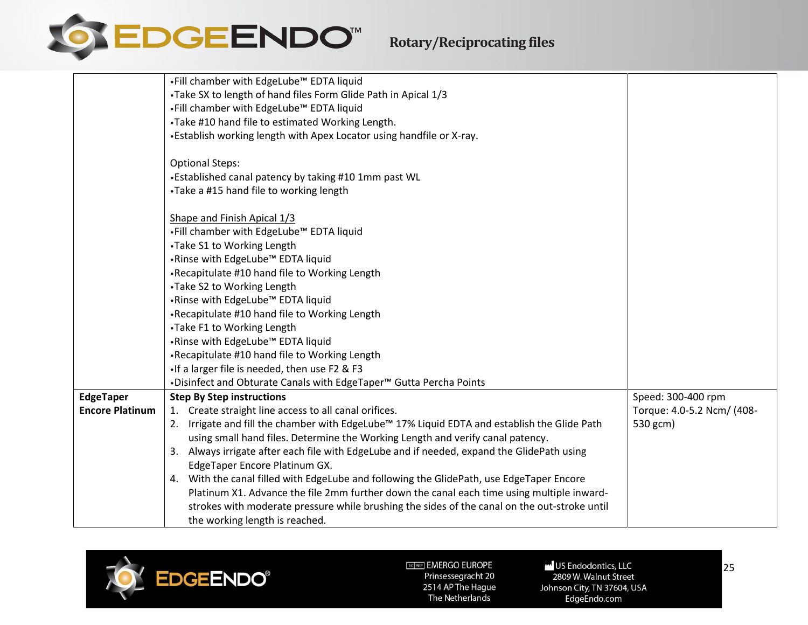

|                        | .Fill chamber with EdgeLube™ EDTA liquid                                                     |                            |
|------------------------|----------------------------------------------------------------------------------------------|----------------------------|
|                        | •Take SX to length of hand files Form Glide Path in Apical 1/3                               |                            |
|                        | .Fill chamber with EdgeLube™ EDTA liquid                                                     |                            |
|                        | •Take #10 hand file to estimated Working Length.                                             |                            |
|                        | •Establish working length with Apex Locator using handfile or X-ray.                         |                            |
|                        |                                                                                              |                            |
|                        | <b>Optional Steps:</b>                                                                       |                            |
|                        | •Established canal patency by taking #10 1mm past WL                                         |                            |
|                        | •Take a #15 hand file to working length                                                      |                            |
|                        | Shape and Finish Apical 1/3                                                                  |                            |
|                        | .Fill chamber with EdgeLube™ EDTA liquid                                                     |                            |
|                        | •Take S1 to Working Length                                                                   |                            |
|                        | .Rinse with EdgeLube™ EDTA liquid                                                            |                            |
|                        | •Recapitulate #10 hand file to Working Length                                                |                            |
|                        | •Take S2 to Working Length                                                                   |                            |
|                        | .Rinse with EdgeLube™ EDTA liquid                                                            |                            |
|                        | •Recapitulate #10 hand file to Working Length                                                |                            |
|                        | •Take F1 to Working Length                                                                   |                            |
|                        | .Rinse with EdgeLube™ EDTA liquid                                                            |                            |
|                        | •Recapitulate #10 hand file to Working Length                                                |                            |
|                        | • If a larger file is needed, then use F2 & F3                                               |                            |
|                        | . Disinfect and Obturate Canals with EdgeTaper <sup>™</sup> Gutta Percha Points              |                            |
| EdgeTaper              | <b>Step By Step instructions</b>                                                             | Speed: 300-400 rpm         |
| <b>Encore Platinum</b> | 1. Create straight line access to all canal orifices.                                        | Torque: 4.0-5.2 Ncm/ (408- |
|                        | 2. Irrigate and fill the chamber with EdgeLube™ 17% Liquid EDTA and establish the Glide Path | 530 gcm)                   |
|                        | using small hand files. Determine the Working Length and verify canal patency.               |                            |
|                        | 3. Always irrigate after each file with EdgeLube and if needed, expand the GlidePath using   |                            |
|                        | EdgeTaper Encore Platinum GX.                                                                |                            |
|                        | 4. With the canal filled with EdgeLube and following the GlidePath, use EdgeTaper Encore     |                            |
|                        | Platinum X1. Advance the file 2mm further down the canal each time using multiple inward-    |                            |
|                        | strokes with moderate pressure while brushing the sides of the canal on the out-stroke until |                            |
|                        | the working length is reached.                                                               |                            |

<span id="page-24-0"></span>

US Endodontics, LLC 2809 W. Walnut Street Johnson City, TN 37604, USA EdgeEndo.com